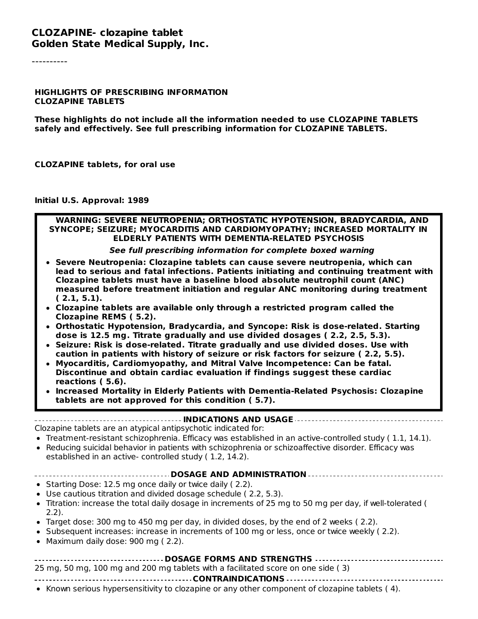#### **CLOZAPINE- clozapine tablet Golden State Medical Supply, Inc.**

----------

#### **HIGHLIGHTS OF PRESCRIBING INFORMATION CLOZAPINE TABLETS**

**These highlights do not include all the information needed to use CLOZAPINE TABLETS safely and effectively. See full prescribing information for CLOZAPINE TABLETS.**

**CLOZAPINE tablets, for oral use**

**Initial U.S. Approval: 1989**

#### **WARNING: SEVERE NEUTROPENIA; ORTHOSTATIC HYPOTENSION, BRADYCARDIA, AND SYNCOPE; SEIZURE; MYOCARDITIS AND CARDIOMYOPATHY; INCREASED MORTALITY IN ELDERLY PATIENTS WITH DEMENTIA-RELATED PSYCHOSIS**

#### **See full prescribing information for complete boxed warning**

- **Severe Neutropenia: Clozapine tablets can cause severe neutropenia, which can lead to serious and fatal infections. Patients initiating and continuing treatment with Clozapine tablets must have a baseline blood absolute neutrophil count (ANC) measured before treatment initiation and regular ANC monitoring during treatment ( 2.1, 5.1).**
- **Clozapine tablets are available only through a restricted program called the Clozapine REMS ( 5.2).**
- **Orthostatic Hypotension, Bradycardia, and Syncope: Risk is dose-related. Starting dose is 12.5 mg. Titrate gradually and use divided dosages ( 2.2, 2.5, 5.3).**
- **Seizure: Risk is dose-related. Titrate gradually and use divided doses. Use with caution in patients with history of seizure or risk factors for seizure ( 2.2, 5.5).**
- **Myocarditis, Cardiomyopathy, and Mitral Valve Incompetence: Can be fatal. Discontinue and obtain cardiac evaluation if findings suggest these cardiac reactions ( 5.6).**
- **Increased Mortality in Elderly Patients with Dementia-Related Psychosis: Clozapine tablets are not approved for this condition ( 5.7).**

#### **INDICATIONS AND USAGE**

Clozapine tablets are an atypical antipsychotic indicated for:

- Treatment-resistant schizophrenia. Efficacy was established in an active-controlled study ( 1.1, 14.1).
- Reducing suicidal behavior in patients with schizophrenia or schizoaffective disorder. Efficacy was established in an active- controlled study ( 1.2, 14.2).
- **DOSAGE AND ADMINISTRATION**
- Starting Dose: 12.5 mg once daily or twice daily (2.2).
- Use cautious titration and divided dosage schedule ( 2.2, 5.3).
- Titration: increase the total daily dosage in increments of 25 mg to 50 mg per day, if well-tolerated ( 2.2).
- Target dose: 300 mg to 450 mg per day, in divided doses, by the end of 2 weeks ( 2.2).
- Subsequent increases: increase in increments of 100 mg or less, once or twice weekly (2.2).
- Maximum daily dose: 900 mg (2.2).

#### **DOSAGE FORMS AND STRENGTHS**

25 mg, 50 mg, 100 mg and 200 mg tablets with a facilitated score on one side ( 3)

**CONTRAINDICATIONS**

• Known serious hypersensitivity to clozapine or any other component of clozapine tablets (4).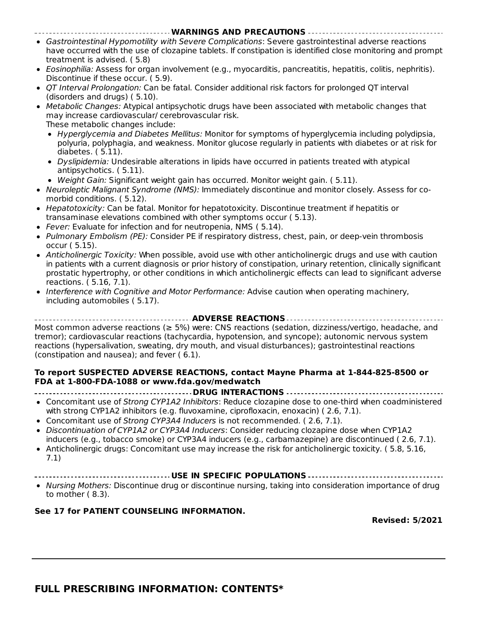#### **WARNINGS AND PRECAUTIONS**

- Gastrointestinal Hypomotility with Severe Complications: Severe gastrointestinal adverse reactions have occurred with the use of clozapine tablets. If constipation is identified close monitoring and prompt treatment is advised. ( 5.8)
- Eosinophilia: Assess for organ involvement (e.g., myocarditis, pancreatitis, hepatitis, colitis, nephritis). Discontinue if these occur. ( 5.9).
- OT Interval Prolongation: Can be fatal. Consider additional risk factors for prolonged OT interval (disorders and drugs) ( 5.10).
- Metabolic Changes: Atypical antipsychotic drugs have been associated with metabolic changes that may increase cardiovascular/ cerebrovascular risk. These metabolic changes include:
	- Hyperglycemia and Diabetes Mellitus: Monitor for symptoms of hyperglycemia including polydipsia, polyuria, polyphagia, and weakness. Monitor glucose regularly in patients with diabetes or at risk for diabetes. ( 5.11).
	- Dyslipidemia: Undesirable alterations in lipids have occurred in patients treated with atypical antipsychotics. ( 5.11).
	- Weight Gain: Significant weight gain has occurred. Monitor weight gain. ( 5.11).
- Neuroleptic Malignant Syndrome (NMS): Immediately discontinue and monitor closely. Assess for comorbid conditions. ( 5.12).
- Hepatotoxicity: Can be fatal. Monitor for hepatotoxicity. Discontinue treatment if hepatitis or transaminase elevations combined with other symptoms occur ( 5.13).
- Fever: Evaluate for infection and for neutropenia, NMS (5.14).
- Pulmonary Embolism (PE): Consider PE if respiratory distress, chest, pain, or deep-vein thrombosis occur ( 5.15).
- Anticholinergic Toxicity: When possible, avoid use with other anticholinergic drugs and use with caution in patients with a current diagnosis or prior history of constipation, urinary retention, clinically significant prostatic hypertrophy, or other conditions in which anticholinergic effects can lead to significant adverse reactions. ( 5.16, 7.1).
- Interference with Cognitive and Motor Performance: Advise caution when operating machinery, including automobiles ( 5.17).

**ADVERSE REACTIONS** Most common adverse reactions (≥ 5%) were: CNS reactions (sedation, dizziness/vertigo, headache, and tremor); cardiovascular reactions (tachycardia, hypotension, and syncope); autonomic nervous system reactions (hypersalivation, sweating, dry mouth, and visual disturbances); gastrointestinal reactions (constipation and nausea); and fever ( 6.1).

#### **To report SUSPECTED ADVERSE REACTIONS, contact Mayne Pharma at 1-844-825-8500 or FDA at 1-800-FDA-1088 or www.fda.gov/medwatch**

- **DRUG INTERACTIONS**
- Concomitant use of Strong CYP1A2 Inhibitors: Reduce clozapine dose to one-third when coadministered with strong CYP1A2 inhibitors (e.g. fluvoxamine, ciprofloxacin, enoxacin) (2.6, 7.1).
- Concomitant use of Strong CYP3A4 Inducers is not recommended. ( 2.6, 7.1).
- Discontinuation of CYP1A2 or CYP3A4 Inducers: Consider reducing clozapine dose when CYP1A2 inducers (e.g., tobacco smoke) or CYP3A4 inducers (e.g., carbamazepine) are discontinued ( 2.6, 7.1).
- Anticholinergic drugs: Concomitant use may increase the risk for anticholinergic toxicity. ( 5.8, 5.16,  $\bullet$ 7.1)
- **USE IN SPECIFIC POPULATIONS**
- Nursing Mothers: Discontinue drug or discontinue nursing, taking into consideration importance of drug to mother ( 8.3).

#### **See 17 for PATIENT COUNSELING INFORMATION.**

**Revised: 5/2021**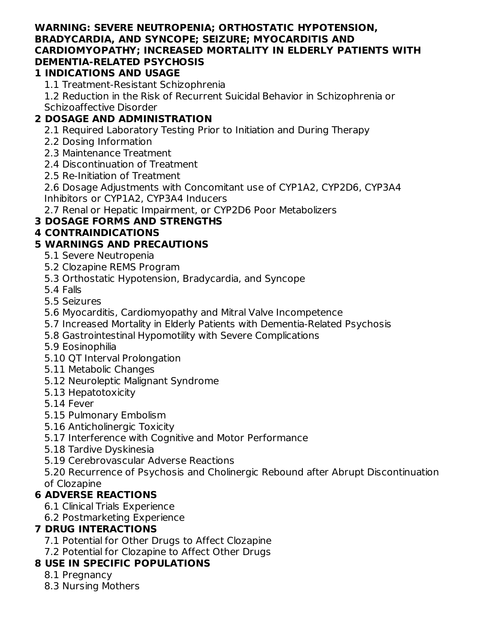#### **WARNING: SEVERE NEUTROPENIA; ORTHOSTATIC HYPOTENSION, BRADYCARDIA, AND SYNCOPE; SEIZURE; MYOCARDITIS AND CARDIOMYOPATHY; INCREASED MORTALITY IN ELDERLY PATIENTS WITH DEMENTIA-RELATED PSYCHOSIS**

### **1 INDICATIONS AND USAGE**

1.1 Treatment-Resistant Schizophrenia

1.2 Reduction in the Risk of Recurrent Suicidal Behavior in Schizophrenia or Schizoaffective Disorder

# **2 DOSAGE AND ADMINISTRATION**

2.1 Required Laboratory Testing Prior to Initiation and During Therapy

- 2.2 Dosing Information
- 2.3 Maintenance Treatment
- 2.4 Discontinuation of Treatment
- 2.5 Re-Initiation of Treatment

2.6 Dosage Adjustments with Concomitant use of CYP1A2, CYP2D6, CYP3A4 Inhibitors or CYP1A2, CYP3A4 Inducers

2.7 Renal or Hepatic Impairment, or CYP2D6 Poor Metabolizers

# **3 DOSAGE FORMS AND STRENGTHS**

### **4 CONTRAINDICATIONS**

### **5 WARNINGS AND PRECAUTIONS**

- 5.1 Severe Neutropenia
- 5.2 Clozapine REMS Program
- 5.3 Orthostatic Hypotension, Bradycardia, and Syncope
- 5.4 Falls
- 5.5 Seizures
- 5.6 Myocarditis, Cardiomyopathy and Mitral Valve Incompetence
- 5.7 Increased Mortality in Elderly Patients with Dementia-Related Psychosis
- 5.8 Gastrointestinal Hypomotility with Severe Complications

### 5.9 Eosinophilia

- 5.10 QT Interval Prolongation
- 5.11 Metabolic Changes
- 5.12 Neuroleptic Malignant Syndrome
- 5.13 Hepatotoxicity
- 5.14 Fever
- 5.15 Pulmonary Embolism
- 5.16 Anticholinergic Toxicity
- 5.17 Interference with Cognitive and Motor Performance
- 5.18 Tardive Dyskinesia
- 5.19 Cerebrovascular Adverse Reactions

5.20 Recurrence of Psychosis and Cholinergic Rebound after Abrupt Discontinuation of Clozapine

# **6 ADVERSE REACTIONS**

- 6.1 Clinical Trials Experience
- 6.2 Postmarketing Experience

# **7 DRUG INTERACTIONS**

- 7.1 Potential for Other Drugs to Affect Clozapine
- 7.2 Potential for Clozapine to Affect Other Drugs

# **8 USE IN SPECIFIC POPULATIONS**

- 8.1 Pregnancy
- 8.3 Nursing Mothers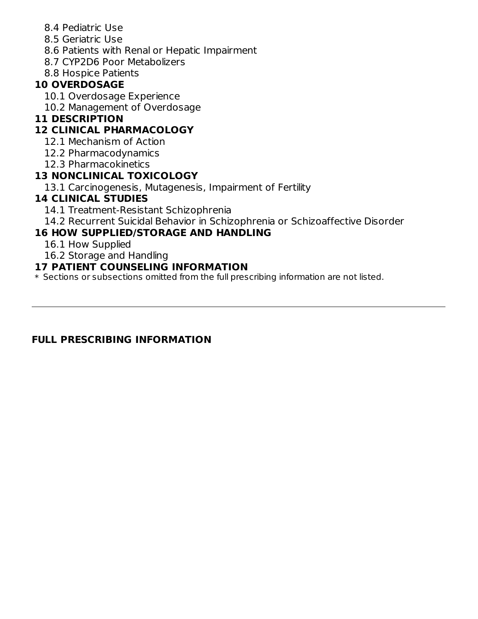- 8.4 Pediatric Use
- 8.5 Geriatric Use
- 8.6 Patients with Renal or Hepatic Impairment
- 8.7 CYP2D6 Poor Metabolizers
- 8.8 Hospice Patients

#### **10 OVERDOSAGE**

- 10.1 Overdosage Experience
- 10.2 Management of Overdosage

### **11 DESCRIPTION**

### **12 CLINICAL PHARMACOLOGY**

- 12.1 Mechanism of Action
- 12.2 Pharmacodynamics
- 12.3 Pharmacokinetics

### **13 NONCLINICAL TOXICOLOGY**

13.1 Carcinogenesis, Mutagenesis, Impairment of Fertility

### **14 CLINICAL STUDIES**

- 14.1 Treatment-Resistant Schizophrenia
- 14.2 Recurrent Suicidal Behavior in Schizophrenia or Schizoaffective Disorder

### **16 HOW SUPPLIED/STORAGE AND HANDLING**

- 16.1 How Supplied
- 16.2 Storage and Handling

#### **17 PATIENT COUNSELING INFORMATION**

\* Sections or subsections omitted from the full prescribing information are not listed.

#### **FULL PRESCRIBING INFORMATION**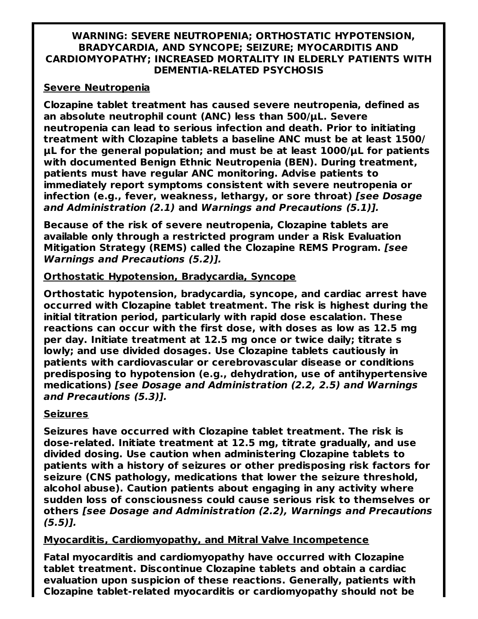#### **WARNING: SEVERE NEUTROPENIA; ORTHOSTATIC HYPOTENSION, BRADYCARDIA, AND SYNCOPE; SEIZURE; MYOCARDITIS AND CARDIOMYOPATHY; INCREASED MORTALITY IN ELDERLY PATIENTS WITH DEMENTIA-RELATED PSYCHOSIS**

#### **Severe Neutropenia**

**Clozapine tablet treatment has caused severe neutropenia, defined as an absolute neutrophil count (ANC) less than 500/µL. Severe neutropenia can lead to serious infection and death. Prior to initiating treatment with Clozapine tablets a baseline ANC must be at least 1500/ µL for the general population; and must be at least 1000/µL for patients with documented Benign Ethnic Neutropenia (BEN). During treatment, patients must have regular ANC monitoring. Advise patients to immediately report symptoms consistent with severe neutropenia or infection (e.g., fever, weakness, lethargy, or sore throat) [see Dosage and Administration (2.1) and Warnings and Precautions (5.1)].**

**Because of the risk of severe neutropenia, Clozapine tablets are available only through a restricted program under a Risk Evaluation Mitigation Strategy (REMS) called the Clozapine REMS Program. [see Warnings and Precautions (5.2)].**

#### **Orthostatic Hypotension, Bradycardia, Syncope**

**Orthostatic hypotension, bradycardia, syncope, and cardiac arrest have occurred with Clozapine tablet treatment. The risk is highest during the initial titration period, particularly with rapid dose escalation. These reactions can occur with the first dose, with doses as low as 12.5 mg per day. Initiate treatment at 12.5 mg once or twice daily; titrate s lowly; and use divided dosages. Use Clozapine tablets cautiously in patients with cardiovascular or cerebrovascular disease or conditions predisposing to hypotension (e.g., dehydration, use of antihypertensive medications) [see Dosage and Administration (2.2, 2.5) and Warnings and Precautions (5.3)].**

#### **Seizures**

**Seizures have occurred with Clozapine tablet treatment. The risk is dose-related. Initiate treatment at 12.5 mg, titrate gradually, and use divided dosing. Use caution when administering Clozapine tablets to patients with a history of seizures or other predisposing risk factors for seizure (CNS pathology, medications that lower the seizure threshold, alcohol abuse). Caution patients about engaging in any activity where sudden loss of consciousness could cause serious risk to themselves or others [see Dosage and Administration (2.2), Warnings and Precautions (5.5)].**

#### **Myocarditis, Cardiomyopathy, and Mitral Valve Incompetence**

**Fatal myocarditis and cardiomyopathy have occurred with Clozapine tablet treatment. Discontinue Clozapine tablets and obtain a cardiac evaluation upon suspicion of these reactions. Generally, patients with Clozapine tablet-related myocarditis or cardiomyopathy should not be**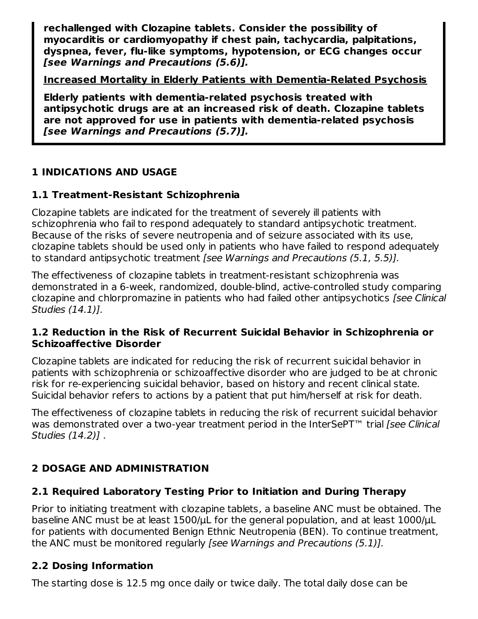**rechallenged with Clozapine tablets. Consider the possibility of myocarditis or cardiomyopathy if chest pain, tachycardia, palpitations, dyspnea, fever, flu-like symptoms, hypotension, or ECG changes occur [see Warnings and Precautions (5.6)].**

**Increased Mortality in Elderly Patients with Dementia-Related Psychosis**

**Elderly patients with dementia-related psychosis treated with antipsychotic drugs are at an increased risk of death. Clozapine tablets are not approved for use in patients with dementia-related psychosis [see Warnings and Precautions (5.7)].**

# **1 INDICATIONS AND USAGE**

# **1.1 Treatment-Resistant Schizophrenia**

Clozapine tablets are indicated for the treatment of severely ill patients with schizophrenia who fail to respond adequately to standard antipsychotic treatment. Because of the risks of severe neutropenia and of seizure associated with its use, clozapine tablets should be used only in patients who have failed to respond adequately to standard antipsychotic treatment [see Warnings and Precautions (5.1, 5.5)].

The effectiveness of clozapine tablets in treatment-resistant schizophrenia was demonstrated in a 6-week, randomized, double-blind, active-controlled study comparing clozapine and chlorpromazine in patients who had failed other antipsychotics [see Clinical Studies (14.1)].

### **1.2 Reduction in the Risk of Recurrent Suicidal Behavior in Schizophrenia or Schizoaffective Disorder**

Clozapine tablets are indicated for reducing the risk of recurrent suicidal behavior in patients with schizophrenia or schizoaffective disorder who are judged to be at chronic risk for re-experiencing suicidal behavior, based on history and recent clinical state. Suicidal behavior refers to actions by a patient that put him/herself at risk for death.

The effectiveness of clozapine tablets in reducing the risk of recurrent suicidal behavior was demonstrated over a two-year treatment period in the InterSePT<sup>™</sup> trial [see Clinical Studies (14.2)] .

# **2 DOSAGE AND ADMINISTRATION**

# **2.1 Required Laboratory Testing Prior to Initiation and During Therapy**

Prior to initiating treatment with clozapine tablets, a baseline ANC must be obtained. The baseline ANC must be at least 1500/uL for the general population, and at least 1000/uL for patients with documented Benign Ethnic Neutropenia (BEN). To continue treatment, the ANC must be monitored regularly [see Warnings and Precautions (5.1)].

### **2.2 Dosing Information**

The starting dose is 12.5 mg once daily or twice daily. The total daily dose can be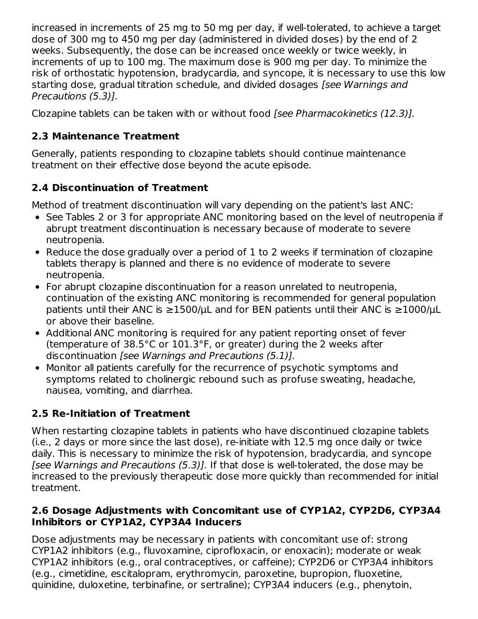increased in increments of 25 mg to 50 mg per day, if well-tolerated, to achieve a target dose of 300 mg to 450 mg per day (administered in divided doses) by the end of 2 weeks. Subsequently, the dose can be increased once weekly or twice weekly, in increments of up to 100 mg. The maximum dose is 900 mg per day. To minimize the risk of orthostatic hypotension, bradycardia, and syncope, it is necessary to use this low starting dose, gradual titration schedule, and divided dosages [see Warnings and Precautions (5.3)].

Clozapine tablets can be taken with or without food [see Pharmacokinetics (12.3)].

# **2.3 Maintenance Treatment**

Generally, patients responding to clozapine tablets should continue maintenance treatment on their effective dose beyond the acute episode.

# **2.4 Discontinuation of Treatment**

Method of treatment discontinuation will vary depending on the patient's last ANC:

- See Tables 2 or 3 for appropriate ANC monitoring based on the level of neutropenia if abrupt treatment discontinuation is necessary because of moderate to severe neutropenia.
- Reduce the dose gradually over a period of 1 to 2 weeks if termination of clozapine tablets therapy is planned and there is no evidence of moderate to severe neutropenia.
- For abrupt clozapine discontinuation for a reason unrelated to neutropenia, continuation of the existing ANC monitoring is recommended for general population patients until their ANC is  $\geq$ 1500/µL and for BEN patients until their ANC is  $\geq$ 1000/µL or above their baseline.
- Additional ANC monitoring is required for any patient reporting onset of fever (temperature of 38.5°C or 101.3°F, or greater) during the 2 weeks after discontinuation [see Warnings and Precautions (5.1)].
- Monitor all patients carefully for the recurrence of psychotic symptoms and symptoms related to cholinergic rebound such as profuse sweating, headache, nausea, vomiting, and diarrhea.

# **2.5 Re-Initiation of Treatment**

When restarting clozapine tablets in patients who have discontinued clozapine tablets (i.e., 2 days or more since the last dose), re-initiate with 12.5 mg once daily or twice daily. This is necessary to minimize the risk of hypotension, bradycardia, and syncope [see Warnings and Precautions (5.3)]. If that dose is well-tolerated, the dose may be increased to the previously therapeutic dose more quickly than recommended for initial treatment.

### **2.6 Dosage Adjustments with Concomitant use of CYP1A2, CYP2D6, CYP3A4 Inhibitors or CYP1A2, CYP3A4 Inducers**

Dose adjustments may be necessary in patients with concomitant use of: strong CYP1A2 inhibitors (e.g., fluvoxamine, ciprofloxacin, or enoxacin); moderate or weak CYP1A2 inhibitors (e.g., oral contraceptives, or caffeine); CYP2D6 or CYP3A4 inhibitors (e.g., cimetidine, escitalopram, erythromycin, paroxetine, bupropion, fluoxetine, quinidine, duloxetine, terbinafine, or sertraline); CYP3A4 inducers (e.g., phenytoin,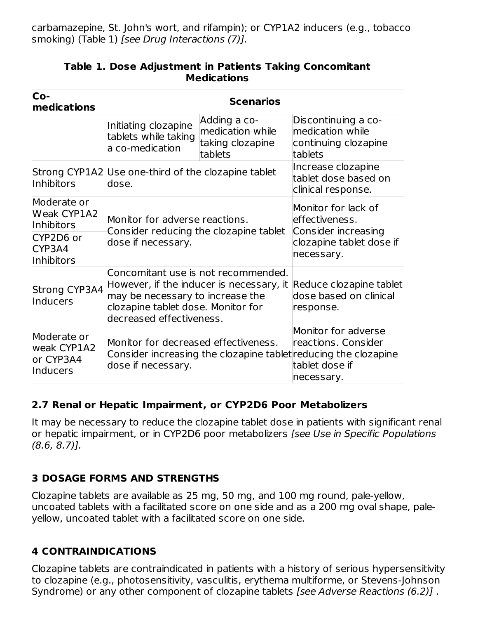carbamazepine, St. John's wort, and rifampin); or CYP1A2 inducers (e.g., tobacco smoking) (Table 1) [see Drug Interactions (7)].

| Co-<br>medications                                  | <b>Scenarios</b>                                                                                                                                                                      |                                                                                                        |                                                                            |  |
|-----------------------------------------------------|---------------------------------------------------------------------------------------------------------------------------------------------------------------------------------------|--------------------------------------------------------------------------------------------------------|----------------------------------------------------------------------------|--|
|                                                     | Initiating clozapine<br>tablets while taking<br>a co-medication                                                                                                                       | Adding a co-<br>medication while<br>taking clozapine<br>tablets                                        | Discontinuing a co-<br>medication while<br>continuing clozapine<br>tablets |  |
| <b>Inhibitors</b>                                   | Strong CYP1A2 Use one-third of the clozapine tablet<br>dose.                                                                                                                          | Increase clozapine<br>tablet dose based on<br>clinical response.                                       |                                                                            |  |
| Moderate or<br><b>Weak CYP1A2</b><br>Inhibitors     | Monitor for adverse reactions.                                                                                                                                                        | Monitor for lack of<br>effectiveness.<br>Consider increasing<br>clozapine tablet dose if<br>necessary. |                                                                            |  |
| CYP2D6 or<br>CYP3A4<br><b>Inhibitors</b>            | Consider reducing the clozapine tablet<br>dose if necessary.                                                                                                                          |                                                                                                        |                                                                            |  |
| Strong CYP3A4<br>Inducers                           | Concomitant use is not recommended.<br>However, if the inducer is necessary, it<br>may be necessary to increase the<br>clozapine tablet dose. Monitor for<br>decreased effectiveness. |                                                                                                        | Reduce clozapine tablet<br>dose based on clinical<br>response.             |  |
| Moderate or<br>weak CYP1A2<br>or CYP3A4<br>Inducers | Monitor for decreased effectiveness.<br>Consider increasing the clozapine tablet reducing the clozapine<br>dose if necessary.                                                         |                                                                                                        | Monitor for adverse<br>reactions. Consider<br>tablet dose if<br>necessary. |  |

#### **Table 1. Dose Adjustment in Patients Taking Concomitant Medications**

#### **2.7 Renal or Hepatic Impairment, or CYP2D6 Poor Metabolizers**

It may be necessary to reduce the clozapine tablet dose in patients with significant renal or hepatic impairment, or in CYP2D6 poor metabolizers [see Use in Specific Populations (8.6, 8.7)].

### **3 DOSAGE FORMS AND STRENGTHS**

Clozapine tablets are available as 25 mg, 50 mg, and 100 mg round, pale-yellow, uncoated tablets with a facilitated score on one side and as a 200 mg oval shape, paleyellow, uncoated tablet with a facilitated score on one side.

### **4 CONTRAINDICATIONS**

Clozapine tablets are contraindicated in patients with a history of serious hypersensitivity to clozapine (e.g., photosensitivity, vasculitis, erythema multiforme, or Stevens-Johnson Syndrome) or any other component of clozapine tablets [see Adverse Reactions (6.2)].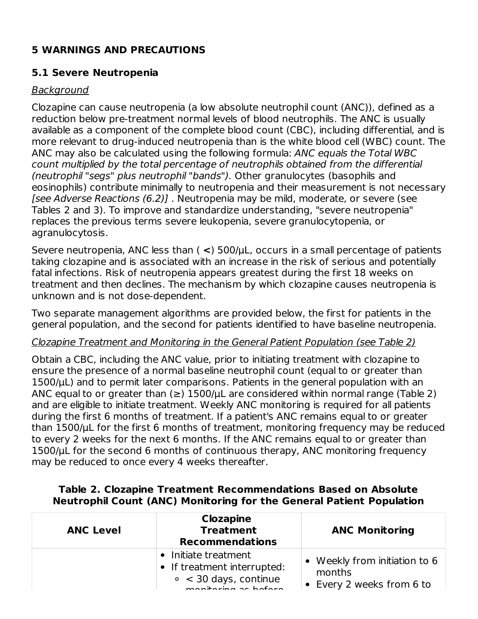### **5 WARNINGS AND PRECAUTIONS**

#### **5.1 Severe Neutropenia**

#### **Background**

Clozapine can cause neutropenia (a low absolute neutrophil count (ANC)), defined as a reduction below pre-treatment normal levels of blood neutrophils. The ANC is usually available as a component of the complete blood count (CBC), including differential, and is more relevant to drug-induced neutropenia than is the white blood cell (WBC) count. The ANC may also be calculated using the following formula: ANC equals the Total WBC count multiplied by the total percentage of neutrophils obtained from the differential (neutrophil "segs" plus neutrophil "bands"). Other granulocytes (basophils and eosinophils) contribute minimally to neutropenia and their measurement is not necessary [see Adverse Reactions (6.2)] . Neutropenia may be mild, moderate, or severe (see Tables 2 and 3). To improve and standardize understanding, "severe neutropenia" replaces the previous terms severe leukopenia, severe granulocytopenia, or agranulocytosis.

Severe neutropenia, ANC less than ( **<**) 500/µL, occurs in a small percentage of patients taking clozapine and is associated with an increase in the risk of serious and potentially fatal infections. Risk of neutropenia appears greatest during the first 18 weeks on treatment and then declines. The mechanism by which clozapine causes neutropenia is unknown and is not dose-dependent.

Two separate management algorithms are provided below, the first for patients in the general population, and the second for patients identified to have baseline neutropenia.

#### Clozapine Treatment and Monitoring in the General Patient Population (see Table 2)

Obtain a CBC, including the ANC value, prior to initiating treatment with clozapine to ensure the presence of a normal baseline neutrophil count (equal to or greater than  $1500/\mu$ L) and to permit later comparisons. Patients in the general population with an ANC equal to or greater than  $(\ge)$  1500/ $\mu$ L are considered within normal range (Table 2) and are eligible to initiate treatment. Weekly ANC monitoring is required for all patients during the first 6 months of treatment. If a patient's ANC remains equal to or greater than 1500/µL for the first 6 months of treatment, monitoring frequency may be reduced to every 2 weeks for the next 6 months. If the ANC remains equal to or greater than 1500/µL for the second 6 months of continuous therapy, ANC monitoring frequency may be reduced to once every 4 weeks thereafter.

| Table 2. Clozapine Treatment Recommendations Based on Absolute              |  |
|-----------------------------------------------------------------------------|--|
| <b>Neutrophil Count (ANC) Monitoring for the General Patient Population</b> |  |

| <b>Clozapine</b><br><b>Treatment</b><br><b>ANC Level</b><br><b>Recommendations</b> |                                                                                                     | <b>ANC Monitoring</b>                                                |
|------------------------------------------------------------------------------------|-----------------------------------------------------------------------------------------------------|----------------------------------------------------------------------|
|                                                                                    | • Initiate treatment<br>• If treatment interrupted:<br>$\circ$ < 30 days, continue<br>$\frac{1}{2}$ | • Weekly from initiation to 6<br>months<br>• Every 2 weeks from 6 to |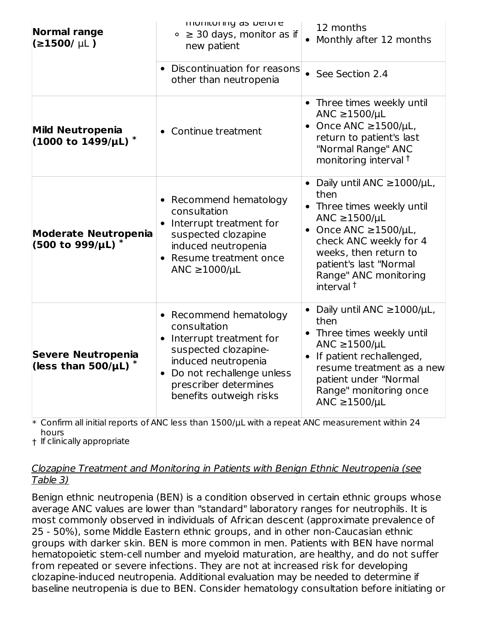| <b>Normal range</b><br>$(21500/\mu L)$                             | monitoring as before<br>$\circ$ $\geq$ 30 days, monitor as if<br>new patient                                                                                                                                                   | 12 months<br>Monthly after 12 months                                                                                                                                                                                                                          |
|--------------------------------------------------------------------|--------------------------------------------------------------------------------------------------------------------------------------------------------------------------------------------------------------------------------|---------------------------------------------------------------------------------------------------------------------------------------------------------------------------------------------------------------------------------------------------------------|
|                                                                    | Discontinuation for reasons<br>$\bullet$<br>other than neutropenia                                                                                                                                                             | See Section 2.4<br>$\bullet$                                                                                                                                                                                                                                  |
| <b>Mild Neutropenia</b><br>$(1000 \text{ to } 1499/\mu\text{L})$ * | Continue treatment<br>$\bullet$                                                                                                                                                                                                | • Three times weekly until<br>ANC $\geq$ 1500/µL<br>Once ANC $\geq$ 1500/µL,<br>return to patient's last<br>"Normal Range" ANC<br>monitoring interval <sup>+</sup>                                                                                            |
| <b>Moderate Neutropenia</b><br>(500 to 999/µL) *                   | • Recommend hematology<br>consultation<br>Interrupt treatment for<br>$\bullet$<br>suspected clozapine<br>induced neutropenia<br>Resume treatment once<br>$\bullet$<br>ANC $\geq$ 1000/µL                                       | • Daily until ANC ≥1000/µL,<br>then<br>Three times weekly until<br>ANC $\geq$ 1500/µL<br>Once ANC $\geq$ 1500/µL,<br>$\bullet$<br>check ANC weekly for 4<br>weeks, then return to<br>patient's last "Normal<br>Range" ANC monitoring<br>interval <sup>+</sup> |
| <b>Severe Neutropenia</b><br>(less than 500/ $\mu$ L) $^*$         | Recommend hematology<br>٠<br>consultation<br>Interrupt treatment for<br>$\bullet$<br>suspected clozapine-<br>induced neutropenia<br>Do not rechallenge unless<br>$\bullet$<br>prescriber determines<br>benefits outweigh risks | Daily until ANC ≥1000/µL,<br>then<br>• Three times weekly until<br>ANC $\geq$ 1500/µL<br>If patient rechallenged,<br>resume treatment as a new<br>patient under "Normal<br>Range" monitoring once<br>ANC $\geq$ 1500/µL                                       |

 $\ast$  Confirm all initial reports of ANC less than 1500/ $\mu$ L with a repeat ANC measurement within 24 hours

† If clinically appropriate

#### Clozapine Treatment and Monitoring in Patients with Benign Ethnic Neutropenia (see Table 3)

Benign ethnic neutropenia (BEN) is a condition observed in certain ethnic groups whose average ANC values are lower than "standard" laboratory ranges for neutrophils. It is most commonly observed in individuals of African descent (approximate prevalence of 25 - 50%), some Middle Eastern ethnic groups, and in other non-Caucasian ethnic groups with darker skin. BEN is more common in men. Patients with BEN have normal hematopoietic stem-cell number and myeloid maturation, are healthy, and do not suffer from repeated or severe infections. They are not at increased risk for developing clozapine-induced neutropenia. Additional evaluation may be needed to determine if baseline neutropenia is due to BEN. Consider hematology consultation before initiating or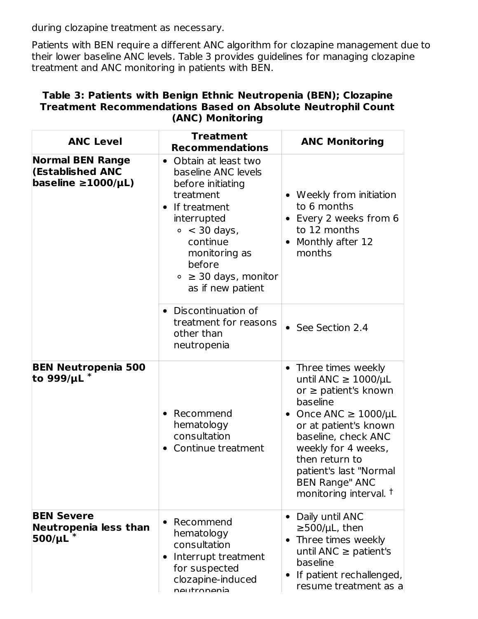during clozapine treatment as necessary.

Patients with BEN require a different ANC algorithm for clozapine management due to their lower baseline ANC levels. Table 3 provides guidelines for managing clozapine treatment and ANC monitoring in patients with BEN.

| Table 3: Patients with Benign Ethnic Neutropenia (BEN); Clozapine   |
|---------------------------------------------------------------------|
| <b>Treatment Recommendations Based on Absolute Neutrophil Count</b> |
| (ANC) Monitoring                                                    |

| <b>ANC Level</b>                                                                   | <b>Treatment</b><br><b>Recommendations</b>                                                                                                                                                                                         | <b>ANC Monitoring</b>                                                                                                                                                                                                                                                                                                 |
|------------------------------------------------------------------------------------|------------------------------------------------------------------------------------------------------------------------------------------------------------------------------------------------------------------------------------|-----------------------------------------------------------------------------------------------------------------------------------------------------------------------------------------------------------------------------------------------------------------------------------------------------------------------|
| <b>Normal BEN Range</b><br><b>(Established ANC</b><br>baseline $\geq 1000/\mu L$ ) | • Obtain at least two<br>baseline ANC levels<br>before initiating<br>treatment<br>If treatment<br>interrupted<br>$\circ$ < 30 days,<br>continue<br>monitoring as<br>before<br>$\circ$ $\geq$ 30 days, monitor<br>as if new patient | Weekly from initiation<br>to 6 months<br>Every 2 weeks from 6<br>to 12 months<br>Monthly after 12<br>months                                                                                                                                                                                                           |
|                                                                                    | • Discontinuation of<br>treatment for reasons<br>other than<br>neutropenia                                                                                                                                                         | • See Section 2.4                                                                                                                                                                                                                                                                                                     |
| <b>BEN Neutropenia 500</b><br>to 999/ $\mu$ L $^*$                                 | Recommend<br>hematology<br>consultation<br>Continue treatment                                                                                                                                                                      | Three times weekly<br>$\bullet$<br>until ANC $\geq$ 1000/µL<br>or $\geq$ patient's known<br>baseline<br>• Once ANC $\geq 1000/\mu L$<br>or at patient's known<br>baseline, check ANC<br>weekly for 4 weeks,<br>then return to<br>patient's last "Normal<br><b>BEN Range" ANC</b><br>monitoring interval. <sup>†</sup> |
| <b>BEN Severe</b><br>Neutropenia less than<br>500/µL                               | Recommend<br>$\bullet$<br>hematology<br>consultation<br>Interrupt treatment<br>for suspected<br>clozapine-induced<br>nautronania                                                                                                   | Daily until ANC<br>$\bullet$<br>$\geq$ 500/µL, then<br>Three times weekly<br>until ANC $\geq$ patient's<br>baseline<br>If patient rechallenged,<br>resume treatment as a                                                                                                                                              |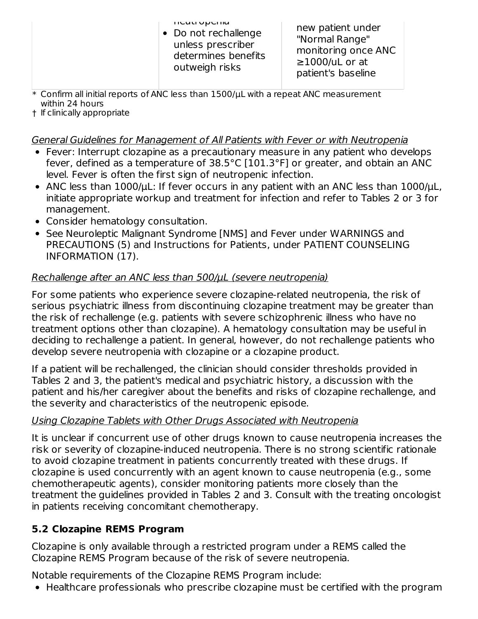• Do not rechallenge unless prescriber determines benefits outweigh risks

new patient under "Normal Range" monitoring once ANC  $\geq$ 1000/uL or at patient's baseline

- $\ast$  Confirm all initial reports of ANC less than 1500/ $\mu$ L with a repeat ANC measurement within 24 hours
- † If clinically appropriate

### General Guidelines for Management of All Patients with Fever or with Neutropenia

- Fever: Interrupt clozapine as a precautionary measure in any patient who develops fever, defined as a temperature of 38.5°C [101.3°F] or greater, and obtain an ANC level. Fever is often the first sign of neutropenic infection.
- ANC less than 1000/uL: If fever occurs in any patient with an ANC less than 1000/uL, initiate appropriate workup and treatment for infection and refer to Tables 2 or 3 for management.
- Consider hematology consultation.
- See Neuroleptic Malignant Syndrome [NMS] and Fever under WARNINGS and PRECAUTIONS (5) and Instructions for Patients, under PATIENT COUNSELING INFORMATION (17).

# Rechallenge after an ANC less than 500/ $\mu$ L (severe neutropenia)

For some patients who experience severe clozapine-related neutropenia, the risk of serious psychiatric illness from discontinuing clozapine treatment may be greater than the risk of rechallenge (e.g. patients with severe schizophrenic illness who have no treatment options other than clozapine). A hematology consultation may be useful in deciding to rechallenge a patient. In general, however, do not rechallenge patients who develop severe neutropenia with clozapine or a clozapine product.

If a patient will be rechallenged, the clinician should consider thresholds provided in Tables 2 and 3, the patient's medical and psychiatric history, a discussion with the patient and his/her caregiver about the benefits and risks of clozapine rechallenge, and the severity and characteristics of the neutropenic episode.

# Using Clozapine Tablets with Other Drugs Associated with Neutropenia

It is unclear if concurrent use of other drugs known to cause neutropenia increases the risk or severity of clozapine-induced neutropenia. There is no strong scientific rationale to avoid clozapine treatment in patients concurrently treated with these drugs. If clozapine is used concurrently with an agent known to cause neutropenia (e.g., some chemotherapeutic agents), consider monitoring patients more closely than the treatment the guidelines provided in Tables 2 and 3. Consult with the treating oncologist in patients receiving concomitant chemotherapy.

# **5.2 Clozapine REMS Program**

Clozapine is only available through a restricted program under a REMS called the Clozapine REMS Program because of the risk of severe neutropenia.

Notable requirements of the Clozapine REMS Program include:

Healthcare professionals who prescribe clozapine must be certified with the program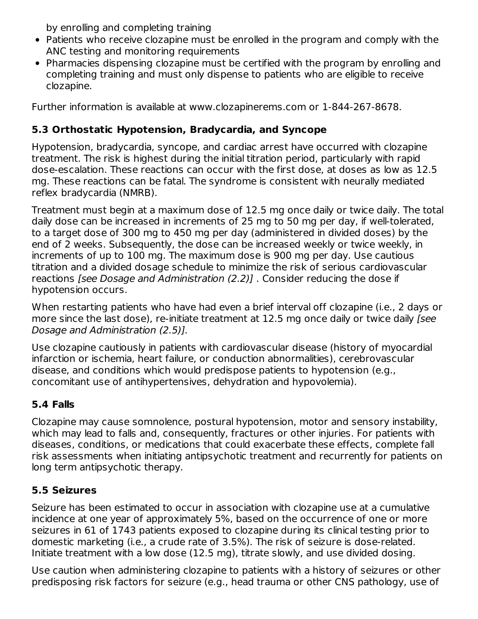by enrolling and completing training

- Patients who receive clozapine must be enrolled in the program and comply with the ANC testing and monitoring requirements
- Pharmacies dispensing clozapine must be certified with the program by enrolling and completing training and must only dispense to patients who are eligible to receive clozapine.

Further information is available at www.clozapinerems.com or 1-844-267-8678.

# **5.3 Orthostatic Hypotension, Bradycardia, and Syncope**

Hypotension, bradycardia, syncope, and cardiac arrest have occurred with clozapine treatment. The risk is highest during the initial titration period, particularly with rapid dose-escalation. These reactions can occur with the first dose, at doses as low as 12.5 mg. These reactions can be fatal. The syndrome is consistent with neurally mediated reflex bradycardia (NMRB).

Treatment must begin at a maximum dose of 12.5 mg once daily or twice daily. The total daily dose can be increased in increments of 25 mg to 50 mg per day, if well-tolerated, to a target dose of 300 mg to 450 mg per day (administered in divided doses) by the end of 2 weeks. Subsequently, the dose can be increased weekly or twice weekly, in increments of up to 100 mg. The maximum dose is 900 mg per day. Use cautious titration and a divided dosage schedule to minimize the risk of serious cardiovascular reactions [see Dosage and Administration (2.2)] . Consider reducing the dose if hypotension occurs.

When restarting patients who have had even a brief interval off clozapine (i.e., 2 days or more since the last dose), re-initiate treatment at 12.5 mg once daily or twice daily (see Dosage and Administration (2.5)].

Use clozapine cautiously in patients with cardiovascular disease (history of myocardial infarction or ischemia, heart failure, or conduction abnormalities), cerebrovascular disease, and conditions which would predispose patients to hypotension (e.g., concomitant use of antihypertensives, dehydration and hypovolemia).

# **5.4 Falls**

Clozapine may cause somnolence, postural hypotension, motor and sensory instability, which may lead to falls and, consequently, fractures or other injuries. For patients with diseases, conditions, or medications that could exacerbate these effects, complete fall risk assessments when initiating antipsychotic treatment and recurrently for patients on long term antipsychotic therapy.

# **5.5 Seizures**

Seizure has been estimated to occur in association with clozapine use at a cumulative incidence at one year of approximately 5%, based on the occurrence of one or more seizures in 61 of 1743 patients exposed to clozapine during its clinical testing prior to domestic marketing (i.e., a crude rate of 3.5%). The risk of seizure is dose-related. Initiate treatment with a low dose (12.5 mg), titrate slowly, and use divided dosing.

Use caution when administering clozapine to patients with a history of seizures or other predisposing risk factors for seizure (e.g., head trauma or other CNS pathology, use of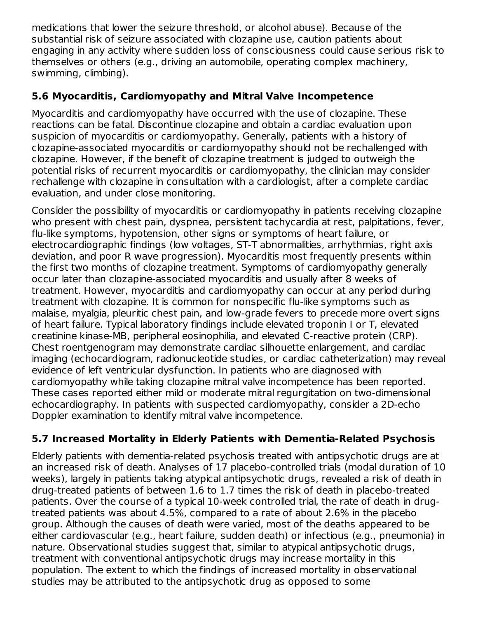medications that lower the seizure threshold, or alcohol abuse). Because of the substantial risk of seizure associated with clozapine use, caution patients about engaging in any activity where sudden loss of consciousness could cause serious risk to themselves or others (e.g., driving an automobile, operating complex machinery, swimming, climbing).

### **5.6 Myocarditis, Cardiomyopathy and Mitral Valve Incompetence**

Myocarditis and cardiomyopathy have occurred with the use of clozapine. These reactions can be fatal. Discontinue clozapine and obtain a cardiac evaluation upon suspicion of myocarditis or cardiomyopathy. Generally, patients with a history of clozapine-associated myocarditis or cardiomyopathy should not be rechallenged with clozapine. However, if the benefit of clozapine treatment is judged to outweigh the potential risks of recurrent myocarditis or cardiomyopathy, the clinician may consider rechallenge with clozapine in consultation with a cardiologist, after a complete cardiac evaluation, and under close monitoring.

Consider the possibility of myocarditis or cardiomyopathy in patients receiving clozapine who present with chest pain, dyspnea, persistent tachycardia at rest, palpitations, fever, flu-like symptoms, hypotension, other signs or symptoms of heart failure, or electrocardiographic findings (low voltages, ST-T abnormalities, arrhythmias, right axis deviation, and poor R wave progression). Myocarditis most frequently presents within the first two months of clozapine treatment. Symptoms of cardiomyopathy generally occur later than clozapine-associated myocarditis and usually after 8 weeks of treatment. However, myocarditis and cardiomyopathy can occur at any period during treatment with clozapine. It is common for nonspecific flu-like symptoms such as malaise, myalgia, pleuritic chest pain, and low-grade fevers to precede more overt signs of heart failure. Typical laboratory findings include elevated troponin I or T, elevated creatinine kinase-MB, peripheral eosinophilia, and elevated C-reactive protein (CRP). Chest roentgenogram may demonstrate cardiac silhouette enlargement, and cardiac imaging (echocardiogram, radionucleotide studies, or cardiac catheterization) may reveal evidence of left ventricular dysfunction. In patients who are diagnosed with cardiomyopathy while taking clozapine mitral valve incompetence has been reported. These cases reported either mild or moderate mitral regurgitation on two-dimensional echocardiography. In patients with suspected cardiomyopathy, consider a 2D-echo Doppler examination to identify mitral valve incompetence.

# **5.7 Increased Mortality in Elderly Patients with Dementia-Related Psychosis**

Elderly patients with dementia-related psychosis treated with antipsychotic drugs are at an increased risk of death. Analyses of 17 placebo-controlled trials (modal duration of 10 weeks), largely in patients taking atypical antipsychotic drugs, revealed a risk of death in drug-treated patients of between 1.6 to 1.7 times the risk of death in placebo-treated patients. Over the course of a typical 10-week controlled trial, the rate of death in drugtreated patients was about 4.5%, compared to a rate of about 2.6% in the placebo group. Although the causes of death were varied, most of the deaths appeared to be either cardiovascular (e.g., heart failure, sudden death) or infectious (e.g., pneumonia) in nature. Observational studies suggest that, similar to atypical antipsychotic drugs, treatment with conventional antipsychotic drugs may increase mortality in this population. The extent to which the findings of increased mortality in observational studies may be attributed to the antipsychotic drug as opposed to some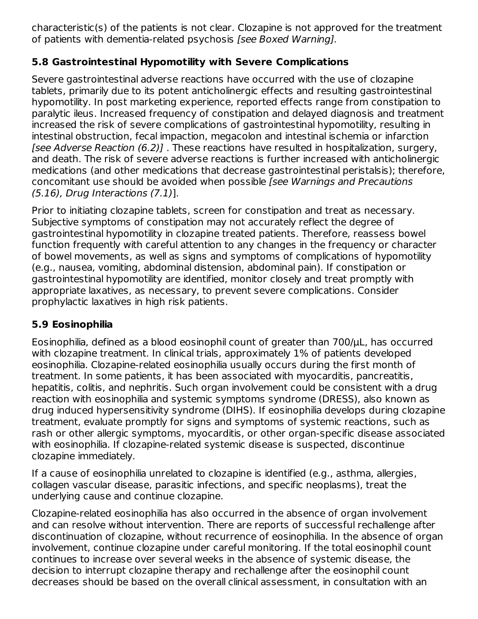characteristic(s) of the patients is not clear. Clozapine is not approved for the treatment of patients with dementia-related psychosis [see Boxed Warning].

### **5.8 Gastrointestinal Hypomotility with Severe Complications**

Severe gastrointestinal adverse reactions have occurred with the use of clozapine tablets, primarily due to its potent anticholinergic effects and resulting gastrointestinal hypomotility. In post marketing experience, reported effects range from constipation to paralytic ileus. Increased frequency of constipation and delayed diagnosis and treatment increased the risk of severe complications of gastrointestinal hypomotility, resulting in intestinal obstruction, fecal impaction, megacolon and intestinal ischemia or infarction [see Adverse Reaction (6.2)] . These reactions have resulted in hospitalization, surgery, and death. The risk of severe adverse reactions is further increased with anticholinergic medications (and other medications that decrease gastrointestinal peristalsis); therefore, concomitant use should be avoided when possible [see Warnings and Precautions (5.16), Drug Interactions (7.1)].

Prior to initiating clozapine tablets, screen for constipation and treat as necessary. Subjective symptoms of constipation may not accurately reflect the degree of gastrointestinal hypomotility in clozapine treated patients. Therefore, reassess bowel function frequently with careful attention to any changes in the frequency or character of bowel movements, as well as signs and symptoms of complications of hypomotility (e.g., nausea, vomiting, abdominal distension, abdominal pain). If constipation or gastrointestinal hypomotility are identified, monitor closely and treat promptly with appropriate laxatives, as necessary, to prevent severe complications. Consider prophylactic laxatives in high risk patients.

# **5.9 Eosinophilia**

Eosinophilia, defined as a blood eosinophil count of greater than 700/µL, has occurred with clozapine treatment. In clinical trials, approximately 1% of patients developed eosinophilia. Clozapine-related eosinophilia usually occurs during the first month of treatment. In some patients, it has been associated with myocarditis, pancreatitis, hepatitis, colitis, and nephritis. Such organ involvement could be consistent with a drug reaction with eosinophilia and systemic symptoms syndrome (DRESS), also known as drug induced hypersensitivity syndrome (DIHS). If eosinophilia develops during clozapine treatment, evaluate promptly for signs and symptoms of systemic reactions, such as rash or other allergic symptoms, myocarditis, or other organ-specific disease associated with eosinophilia. If clozapine-related systemic disease is suspected, discontinue clozapine immediately.

If a cause of eosinophilia unrelated to clozapine is identified (e.g., asthma, allergies, collagen vascular disease, parasitic infections, and specific neoplasms), treat the underlying cause and continue clozapine.

Clozapine-related eosinophilia has also occurred in the absence of organ involvement and can resolve without intervention. There are reports of successful rechallenge after discontinuation of clozapine, without recurrence of eosinophilia. In the absence of organ involvement, continue clozapine under careful monitoring. If the total eosinophil count continues to increase over several weeks in the absence of systemic disease, the decision to interrupt clozapine therapy and rechallenge after the eosinophil count decreases should be based on the overall clinical assessment, in consultation with an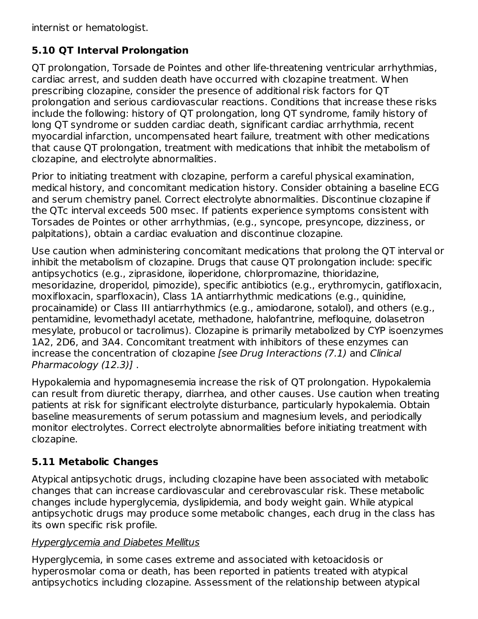internist or hematologist.

# **5.10 QT Interval Prolongation**

QT prolongation, Torsade de Pointes and other life-threatening ventricular arrhythmias, cardiac arrest, and sudden death have occurred with clozapine treatment. When prescribing clozapine, consider the presence of additional risk factors for QT prolongation and serious cardiovascular reactions. Conditions that increase these risks include the following: history of QT prolongation, long QT syndrome, family history of long QT syndrome or sudden cardiac death, significant cardiac arrhythmia, recent myocardial infarction, uncompensated heart failure, treatment with other medications that cause QT prolongation, treatment with medications that inhibit the metabolism of clozapine, and electrolyte abnormalities.

Prior to initiating treatment with clozapine, perform a careful physical examination, medical history, and concomitant medication history. Consider obtaining a baseline ECG and serum chemistry panel. Correct electrolyte abnormalities. Discontinue clozapine if the QTc interval exceeds 500 msec. If patients experience symptoms consistent with Torsades de Pointes or other arrhythmias, (e.g., syncope, presyncope, dizziness, or palpitations), obtain a cardiac evaluation and discontinue clozapine.

Use caution when administering concomitant medications that prolong the QT interval or inhibit the metabolism of clozapine. Drugs that cause QT prolongation include: specific antipsychotics (e.g., ziprasidone, iloperidone, chlorpromazine, thioridazine, mesoridazine, droperidol, pimozide), specific antibiotics (e.g., erythromycin, gatifloxacin, moxifloxacin, sparfloxacin), Class 1A antiarrhythmic medications (e.g., quinidine, procainamide) or Class III antiarrhythmics (e.g., amiodarone, sotalol), and others (e.g., pentamidine, levomethadyl acetate, methadone, halofantrine, mefloquine, dolasetron mesylate, probucol or tacrolimus). Clozapine is primarily metabolized by CYP isoenzymes 1A2, 2D6, and 3A4. Concomitant treatment with inhibitors of these enzymes can increase the concentration of clozapine [see Drug Interactions (7.1) and Clinical Pharmacology (12.3)] .

Hypokalemia and hypomagnesemia increase the risk of QT prolongation. Hypokalemia can result from diuretic therapy, diarrhea, and other causes. Use caution when treating patients at risk for significant electrolyte disturbance, particularly hypokalemia. Obtain baseline measurements of serum potassium and magnesium levels, and periodically monitor electrolytes. Correct electrolyte abnormalities before initiating treatment with clozapine.

# **5.11 Metabolic Changes**

Atypical antipsychotic drugs, including clozapine have been associated with metabolic changes that can increase cardiovascular and cerebrovascular risk. These metabolic changes include hyperglycemia, dyslipidemia, and body weight gain. While atypical antipsychotic drugs may produce some metabolic changes, each drug in the class has its own specific risk profile.

### Hyperglycemia and Diabetes Mellitus

Hyperglycemia, in some cases extreme and associated with ketoacidosis or hyperosmolar coma or death, has been reported in patients treated with atypical antipsychotics including clozapine. Assessment of the relationship between atypical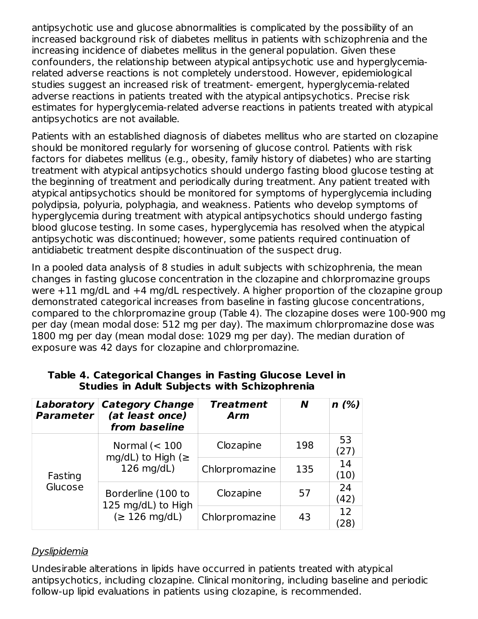antipsychotic use and glucose abnormalities is complicated by the possibility of an increased background risk of diabetes mellitus in patients with schizophrenia and the increasing incidence of diabetes mellitus in the general population. Given these confounders, the relationship between atypical antipsychotic use and hyperglycemiarelated adverse reactions is not completely understood. However, epidemiological studies suggest an increased risk of treatment- emergent, hyperglycemia-related adverse reactions in patients treated with the atypical antipsychotics. Precise risk estimates for hyperglycemia-related adverse reactions in patients treated with atypical antipsychotics are not available.

Patients with an established diagnosis of diabetes mellitus who are started on clozapine should be monitored regularly for worsening of glucose control. Patients with risk factors for diabetes mellitus (e.g., obesity, family history of diabetes) who are starting treatment with atypical antipsychotics should undergo fasting blood glucose testing at the beginning of treatment and periodically during treatment. Any patient treated with atypical antipsychotics should be monitored for symptoms of hyperglycemia including polydipsia, polyuria, polyphagia, and weakness. Patients who develop symptoms of hyperglycemia during treatment with atypical antipsychotics should undergo fasting blood glucose testing. In some cases, hyperglycemia has resolved when the atypical antipsychotic was discontinued; however, some patients required continuation of antidiabetic treatment despite discontinuation of the suspect drug.

In a pooled data analysis of 8 studies in adult subjects with schizophrenia, the mean changes in fasting glucose concentration in the clozapine and chlorpromazine groups were +11 mg/dL and +4 mg/dL respectively. A higher proportion of the clozapine group demonstrated categorical increases from baseline in fasting glucose concentrations, compared to the chlorpromazine group (Table 4). The clozapine doses were 100-900 mg per day (mean modal dose: 512 mg per day). The maximum chlorpromazine dose was 1800 mg per day (mean modal dose: 1029 mg per day). The median duration of exposure was 42 days for clozapine and chlorpromazine.

| Laboratory<br><b>Parameter</b> | <b>Category Change</b><br>(at least once)<br>from baseline | <b>Treatment</b><br><b>Arm</b> | N   | n(%)                    |
|--------------------------------|------------------------------------------------------------|--------------------------------|-----|-------------------------|
| Fasting<br>Glucose             | Normal $(< 100$<br>mg/dL) to High ( $\ge$                  | Clozapine                      | 198 | 53<br>(27)              |
|                                | 126 mg/dL)                                                 | Chlorpromazine                 | 135 | 14<br>(10)              |
|                                | Borderline (100 to<br>125 mg/dL) to High                   | Clozapine                      | 57  | 24<br>(42)              |
|                                | $(\geq 126 \text{ mg/dL})$                                 | Chlorpromazine                 | 43  | 12<br>$\left[28\right]$ |

**Table 4. Categorical Changes in Fasting Glucose Level in Studies in Adult Subjects with Schizophrenia**

### Dyslipidemia

Undesirable alterations in lipids have occurred in patients treated with atypical antipsychotics, including clozapine. Clinical monitoring, including baseline and periodic follow-up lipid evaluations in patients using clozapine, is recommended.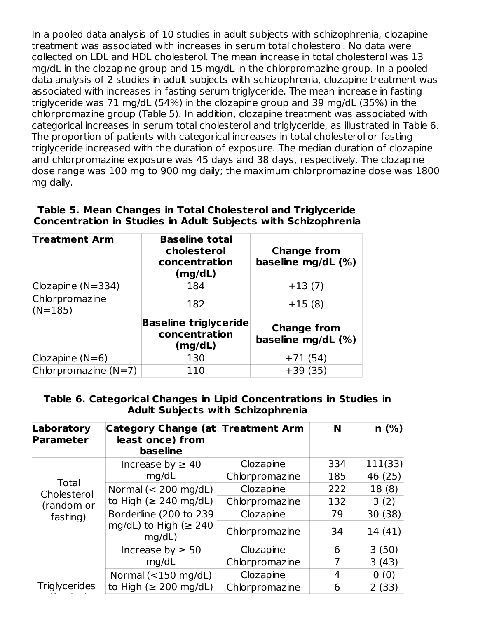In a pooled data analysis of 10 studies in adult subjects with schizophrenia, clozapine treatment was associated with increases in serum total cholesterol. No data were collected on LDL and HDL cholesterol. The mean increase in total cholesterol was 13 mg/dL in the clozapine group and 15 mg/dL in the chlorpromazine group. In a pooled data analysis of 2 studies in adult subjects with schizophrenia, clozapine treatment was associated with increases in fasting serum triglyceride. The mean increase in fasting triglyceride was 71 mg/dL (54%) in the clozapine group and 39 mg/dL (35%) in the chlorpromazine group (Table 5). In addition, clozapine treatment was associated with categorical increases in serum total cholesterol and triglyceride, as illustrated in Table 6. The proportion of patients with categorical increases in total cholesterol or fasting triglyceride increased with the duration of exposure. The median duration of clozapine and chlorpromazine exposure was 45 days and 38 days, respectively. The clozapine dose range was 100 mg to 900 mg daily; the maximum chlorpromazine dose was 1800 mg daily.

#### **Table 5. Mean Changes in Total Cholesterol and Triglyceride Concentration in Studies in Adult Subjects with Schizophrenia**

| <b>Treatment Arm</b>        | <b>Baseline total</b><br>cholesterol<br>concentration<br>(mg/dL) | <b>Change from</b><br>baseline mg/dL (%) |  |  |
|-----------------------------|------------------------------------------------------------------|------------------------------------------|--|--|
| Clozapine ( $N=334$ )       | 184                                                              | $+13(7)$                                 |  |  |
| Chlorpromazine<br>$(N=185)$ | 182                                                              | $+15(8)$                                 |  |  |
|                             | <b>Baseline triglyceride</b><br>concentration<br>(mg/dL)         | <b>Change from</b><br>baseline mg/dL (%) |  |  |
| Clozapine $(N=6)$           | 130                                                              | $+71(54)$                                |  |  |
| Chlorpromazine $(N=7)$      | 110                                                              | $+39(35)$                                |  |  |

#### **Table 6. Categorical Changes in Lipid Concentrations in Studies in Adult Subjects with Schizophrenia**

| Laboratory<br><b>Parameter</b> | Category Change (at<br><b>Treatment Arm</b><br>least once) from<br><b>baseline</b> |                | N   | n(%)    |
|--------------------------------|------------------------------------------------------------------------------------|----------------|-----|---------|
|                                | Increase by $\geq 40$                                                              | Clozapine      | 334 | 111(33) |
|                                | mq/dL                                                                              | Chlorpromazine | 185 | 46 (25) |
| <b>Total</b><br>Cholesterol    | Normal $(< 200$ mg/dL)                                                             | Clozapine      | 222 | 18(8)   |
| (random or<br>fasting)         | to High ( $\geq$ 240 mg/dL)                                                        | Chlorpromazine | 132 | 3(2)    |
|                                | Borderline (200 to 239                                                             | Clozapine      | 79  | 30 (38) |
|                                | mg/dL) to High ( $\geq 240$<br>mq/dL)                                              | Chlorpromazine | 34  | 14 (41) |
|                                | Increase by $\geq 50$                                                              | Clozapine      | 6   | 3(50)   |
|                                | mq/dL                                                                              | Chlorpromazine |     | 3(43)   |
|                                | Normal $(<150$ mg/dL)                                                              | Clozapine      | 4   | 0(0)    |
| Triglycerides                  | to High ( $\geq$ 200 mg/dL)                                                        | Chlorpromazine | 6   | 2(33)   |

(fasting)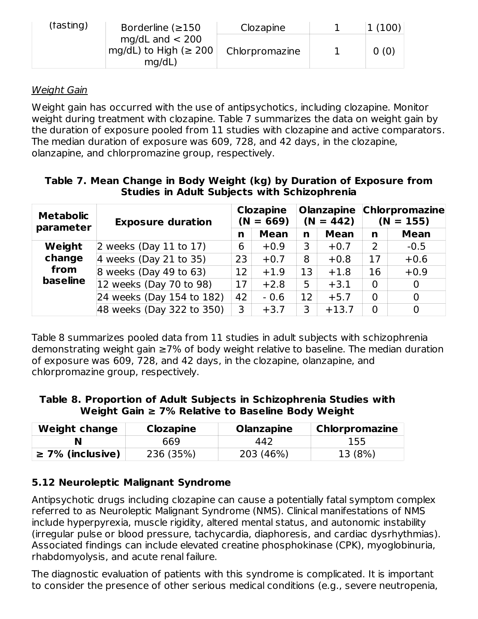| (fasting) | Borderline $(\geq 150$                                       | Clozapine      | 1(100) |
|-----------|--------------------------------------------------------------|----------------|--------|
|           | mg/dL and $<$ 200<br>$mg/dL$ ) to High ( $\geq 200$<br>mq/dL | Chlorpromazine | 0(0)   |

### Weight Gain

Weight gain has occurred with the use of antipsychotics, including clozapine. Monitor weight during treatment with clozapine. Table 7 summarizes the data on weight gain by the duration of exposure pooled from 11 studies with clozapine and active comparators. The median duration of exposure was 609, 728, and 42 days, in the clozapine, olanzapine, and chlorpromazine group, respectively.

### **Table 7. Mean Change in Body Weight (kg) by Duration of Exposure from Studies in Adult Subjects with Schizophrenia**

| <b>Metabolic</b><br>parameter | <b>Exposure duration</b>  | <b>Clozapine</b><br>$(N = 669)$ |             | <b>Olanzapine</b><br>$(N = 442)$ |             | <b>Chlorpromazine</b><br>$(N = 155)$ |                |
|-------------------------------|---------------------------|---------------------------------|-------------|----------------------------------|-------------|--------------------------------------|----------------|
|                               |                           | n                               | <b>Mean</b> | n                                | <b>Mean</b> | n                                    | <b>Mean</b>    |
| Weight                        | 2 weeks (Day 11 to 17)    | 6                               | $+0.9$      | 3                                | $+0.7$      | 2                                    | $-0.5$         |
| change                        | 4 weeks (Day 21 to 35)    | 23                              | $+0.7$      | 8                                | $+0.8$      | 17                                   | $+0.6$         |
| from                          | 8 weeks (Day 49 to $63$ ) | 12                              | $+1.9$      | 13                               | $+1.8$      | 16                                   | $+0.9$         |
| <b>baseline</b>               | 12 weeks (Day 70 to 98)   | 17                              | $+2.8$      | 5                                | $+3.1$      | $\overline{0}$                       | $\overline{0}$ |
|                               | 24 weeks (Day 154 to 182) | 42                              | $-0.6$      | 12                               | $+5.7$      | $\Omega$                             | $\mathbf 0$    |
|                               | 48 weeks (Day 322 to 350) | 3                               | $+3.7$      | 3                                | $+13.7$     | $\overline{0}$                       | $\overline{0}$ |

Table 8 summarizes pooled data from 11 studies in adult subjects with schizophrenia demonstrating weight gain ≥7% of body weight relative to baseline. The median duration of exposure was 609, 728, and 42 days, in the clozapine, olanzapine, and chlorpromazine group, respectively.

**Table 8. Proportion of Adult Subjects in Schizophrenia Studies with Weight Gain ≥ 7% Relative to Baseline Body Weight**

| <b>Weight change</b>  | <b>Clozapine</b> | <b>Olanzapine</b> | <b>Chlorpromazine</b> |  |
|-----------------------|------------------|-------------------|-----------------------|--|
|                       | 669              | 442               | 155                   |  |
| $\geq$ 7% (inclusive) | 236 (35%)        | 203 (46%)         | 13 (8%)               |  |

# **5.12 Neuroleptic Malignant Syndrome**

Antipsychotic drugs including clozapine can cause a potentially fatal symptom complex referred to as Neuroleptic Malignant Syndrome (NMS). Clinical manifestations of NMS include hyperpyrexia, muscle rigidity, altered mental status, and autonomic instability (irregular pulse or blood pressure, tachycardia, diaphoresis, and cardiac dysrhythmias). Associated findings can include elevated creatine phosphokinase (CPK), myoglobinuria, rhabdomyolysis, and acute renal failure.

The diagnostic evaluation of patients with this syndrome is complicated. It is important to consider the presence of other serious medical conditions (e.g., severe neutropenia,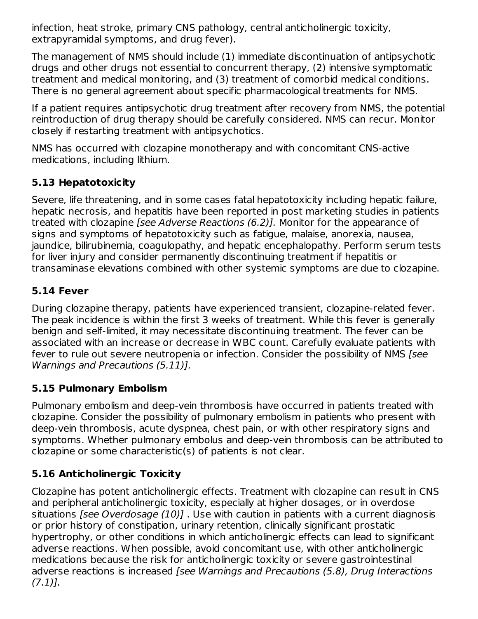infection, heat stroke, primary CNS pathology, central anticholinergic toxicity, extrapyramidal symptoms, and drug fever).

The management of NMS should include (1) immediate discontinuation of antipsychotic drugs and other drugs not essential to concurrent therapy, (2) intensive symptomatic treatment and medical monitoring, and (3) treatment of comorbid medical conditions. There is no general agreement about specific pharmacological treatments for NMS.

If a patient requires antipsychotic drug treatment after recovery from NMS, the potential reintroduction of drug therapy should be carefully considered. NMS can recur. Monitor closely if restarting treatment with antipsychotics.

NMS has occurred with clozapine monotherapy and with concomitant CNS-active medications, including lithium.

# **5.13 Hepatotoxicity**

Severe, life threatening, and in some cases fatal hepatotoxicity including hepatic failure, hepatic necrosis, and hepatitis have been reported in post marketing studies in patients treated with clozapine [see Adverse Reactions (6.2)]. Monitor for the appearance of signs and symptoms of hepatotoxicity such as fatigue, malaise, anorexia, nausea, jaundice, bilirubinemia, coagulopathy, and hepatic encephalopathy. Perform serum tests for liver injury and consider permanently discontinuing treatment if hepatitis or transaminase elevations combined with other systemic symptoms are due to clozapine.

### **5.14 Fever**

During clozapine therapy, patients have experienced transient, clozapine-related fever. The peak incidence is within the first 3 weeks of treatment. While this fever is generally benign and self-limited, it may necessitate discontinuing treatment. The fever can be associated with an increase or decrease in WBC count. Carefully evaluate patients with fever to rule out severe neutropenia or infection. Consider the possibility of NMS [see Warnings and Precautions (5.11)].

# **5.15 Pulmonary Embolism**

Pulmonary embolism and deep-vein thrombosis have occurred in patients treated with clozapine. Consider the possibility of pulmonary embolism in patients who present with deep-vein thrombosis, acute dyspnea, chest pain, or with other respiratory signs and symptoms. Whether pulmonary embolus and deep-vein thrombosis can be attributed to clozapine or some characteristic(s) of patients is not clear.

# **5.16 Anticholinergic Toxicity**

Clozapine has potent anticholinergic effects. Treatment with clozapine can result in CNS and peripheral anticholinergic toxicity, especially at higher dosages, or in overdose situations [see Overdosage (10)]. Use with caution in patients with a current diagnosis or prior history of constipation, urinary retention, clinically significant prostatic hypertrophy, or other conditions in which anticholinergic effects can lead to significant adverse reactions. When possible, avoid concomitant use, with other anticholinergic medications because the risk for anticholinergic toxicity or severe gastrointestinal adverse reactions is increased [see Warnings and Precautions (5.8), Drug Interactions  $(7.1)$ ].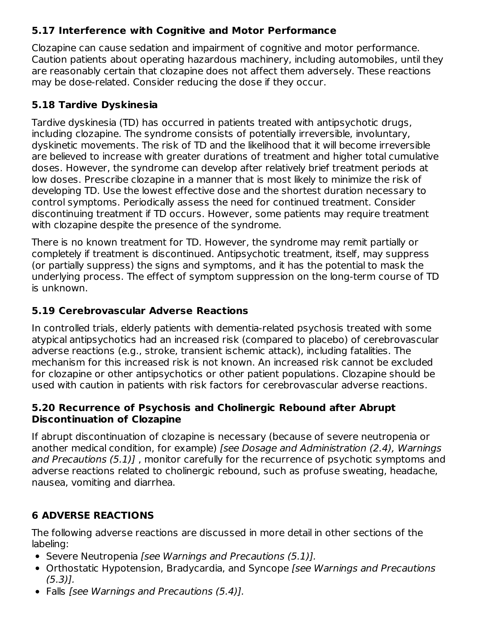### **5.17 Interference with Cognitive and Motor Performance**

Clozapine can cause sedation and impairment of cognitive and motor performance. Caution patients about operating hazardous machinery, including automobiles, until they are reasonably certain that clozapine does not affect them adversely. These reactions may be dose-related. Consider reducing the dose if they occur.

### **5.18 Tardive Dyskinesia**

Tardive dyskinesia (TD) has occurred in patients treated with antipsychotic drugs, including clozapine. The syndrome consists of potentially irreversible, involuntary, dyskinetic movements. The risk of TD and the likelihood that it will become irreversible are believed to increase with greater durations of treatment and higher total cumulative doses. However, the syndrome can develop after relatively brief treatment periods at low doses. Prescribe clozapine in a manner that is most likely to minimize the risk of developing TD. Use the lowest effective dose and the shortest duration necessary to control symptoms. Periodically assess the need for continued treatment. Consider discontinuing treatment if TD occurs. However, some patients may require treatment with clozapine despite the presence of the syndrome.

There is no known treatment for TD. However, the syndrome may remit partially or completely if treatment is discontinued. Antipsychotic treatment, itself, may suppress (or partially suppress) the signs and symptoms, and it has the potential to mask the underlying process. The effect of symptom suppression on the long-term course of TD is unknown.

### **5.19 Cerebrovascular Adverse Reactions**

In controlled trials, elderly patients with dementia-related psychosis treated with some atypical antipsychotics had an increased risk (compared to placebo) of cerebrovascular adverse reactions (e.g., stroke, transient ischemic attack), including fatalities. The mechanism for this increased risk is not known. An increased risk cannot be excluded for clozapine or other antipsychotics or other patient populations. Clozapine should be used with caution in patients with risk factors for cerebrovascular adverse reactions.

### **5.20 Recurrence of Psychosis and Cholinergic Rebound after Abrupt Discontinuation of Clozapine**

If abrupt discontinuation of clozapine is necessary (because of severe neutropenia or another medical condition, for example) [see Dosage and Administration (2.4), Warnings and Precautions (5.1)] , monitor carefully for the recurrence of psychotic symptoms and adverse reactions related to cholinergic rebound, such as profuse sweating, headache, nausea, vomiting and diarrhea.

# **6 ADVERSE REACTIONS**

The following adverse reactions are discussed in more detail in other sections of the labeling:

- Severe Neutropenia [see Warnings and Precautions (5.1)].
- Orthostatic Hypotension, Bradycardia, and Syncope [see Warnings and Precautions  $(5.3)$ ].
- Falls [see Warnings and Precautions (5.4)].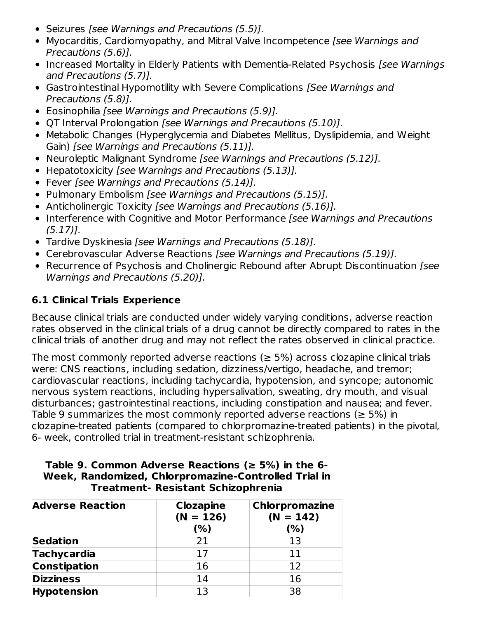- Seizures [see Warnings and Precautions (5.5)].
- Myocarditis, Cardiomyopathy, and Mitral Valve Incompetence [see Warnings and Precautions (5.6)].
- Increased Mortality in Elderly Patients with Dementia-Related Psychosis [see Warnings and Precautions (5.7)].
- Gastrointestinal Hypomotility with Severe Complications *[See Warnings and* Precautions (5.8)].
- Eosinophilia *[see Warnings and Precautions (5.9)]*.
- QT Interval Prolongation [see Warnings and Precautions (5.10)].
- Metabolic Changes (Hyperglycemia and Diabetes Mellitus, Dyslipidemia, and Weight Gain) [see Warnings and Precautions (5.11)].
- Neuroleptic Malignant Syndrome [see Warnings and Precautions (5.12)].
- Hepatotoxicity [see Warnings and Precautions (5.13)].
- Fever [see Warnings and Precautions (5.14)].
- Pulmonary Embolism [see Warnings and Precautions (5.15)].
- Anticholinergic Toxicity [see Warnings and Precautions (5.16)].
- Interference with Cognitive and Motor Performance [see Warnings and Precautions (5.17)].
- Tardive Dyskinesia [see Warnings and Precautions (5.18)].
- Cerebrovascular Adverse Reactions [see Warnings and Precautions (5.19)].
- Recurrence of Psychosis and Cholinergic Rebound after Abrupt Discontinuation [see Warnings and Precautions (5.20)].

### **6.1 Clinical Trials Experience**

Because clinical trials are conducted under widely varying conditions, adverse reaction rates observed in the clinical trials of a drug cannot be directly compared to rates in the clinical trials of another drug and may not reflect the rates observed in clinical practice.

The most commonly reported adverse reactions ( $\geq$  5%) across clozapine clinical trials were: CNS reactions, including sedation, dizziness/vertigo, headache, and tremor; cardiovascular reactions, including tachycardia, hypotension, and syncope; autonomic nervous system reactions, including hypersalivation, sweating, dry mouth, and visual disturbances; gastrointestinal reactions, including constipation and nausea; and fever. Table 9 summarizes the most commonly reported adverse reactions ( $\geq$  5%) in clozapine-treated patients (compared to chlorpromazine-treated patients) in the pivotal, 6- week, controlled trial in treatment-resistant schizophrenia.

#### **Table 9. Common Adverse Reactions (≥ 5%) in the 6- Week, Randomized, Chlorpromazine-Controlled Trial in Treatment- Resistant Schizophrenia**

| <b>Adverse Reaction</b> | <b>Clozapine</b><br>$(N = 126)$ | <b>Chlorpromazine</b><br>$(N = 142)$ |
|-------------------------|---------------------------------|--------------------------------------|
|                         | (%)                             | (%)                                  |
| <b>Sedation</b>         | 21                              | 13                                   |
| <b>Tachycardia</b>      | 17                              | 11                                   |
| <b>Constipation</b>     | 16                              | 12                                   |
| <b>Dizziness</b>        | 14                              | 16                                   |
| <b>Hypotension</b>      | 13                              | 38                                   |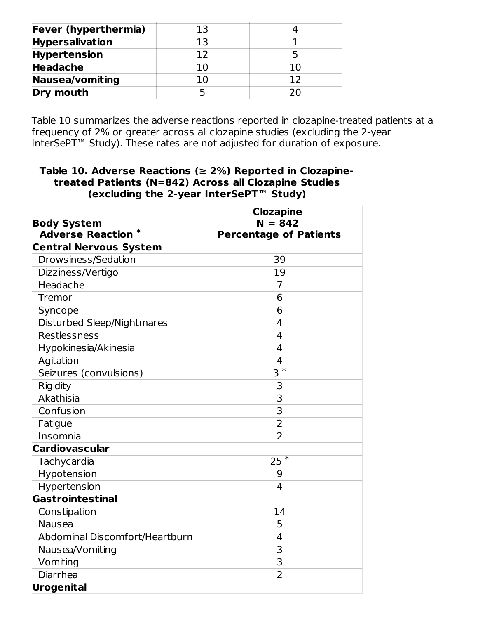| <b>Fever (hyperthermia)</b> | ר 3 |    |
|-----------------------------|-----|----|
| <b>Hypersalivation</b>      | 13  |    |
| <b>Hypertension</b>         | 1 ว |    |
| <b>Headache</b>             |     |    |
| Nausea/vomiting             |     | 1つ |
| Dry mouth                   |     |    |

Table 10 summarizes the adverse reactions reported in clozapine-treated patients at a frequency of 2% or greater across all clozapine studies (excluding the 2-year InterSePT™ Study). These rates are not adjusted for duration of exposure.

#### **Table 10. Adverse Reactions (≥ 2%) Reported in Clozapinetreated Patients (N=842) Across all Clozapine Studies (excluding the 2-year InterSePT™ Study)**

| <b>Body System</b>             | <b>Clozapine</b><br>$N = 842$ |
|--------------------------------|-------------------------------|
| <b>Adverse Reaction *</b>      | <b>Percentage of Patients</b> |
| <b>Central Nervous System</b>  |                               |
| Drowsiness/Sedation            | 39                            |
| Dizziness/Vertigo              | 19                            |
| Headache                       | 7                             |
| Tremor                         | 6                             |
| Syncope                        | 6                             |
| Disturbed Sleep/Nightmares     | 4                             |
| Restlessness                   | 4                             |
| Hypokinesia/Akinesia           | $\overline{4}$                |
| Agitation                      | 4                             |
| Seizures (convulsions)         | $\ast$<br>3                   |
| Rigidity                       | 3                             |
| Akathisia                      | 3                             |
| Confusion                      | $\overline{3}$                |
| Fatigue                        | $\overline{2}$                |
| Insomnia                       | $\overline{2}$                |
| <b>Cardiovascular</b>          |                               |
| Tachycardia                    | $\ast$<br>25                  |
| Hypotension                    | 9                             |
| Hypertension                   | $\overline{4}$                |
| Gastrointestinal               |                               |
| Constipation                   | 14                            |
| <b>Nausea</b>                  | 5                             |
| Abdominal Discomfort/Heartburn | 4                             |
| Nausea/Vomiting                | 3                             |
| Vomiting                       | $\overline{3}$                |
| Diarrhea                       | $\overline{2}$                |
| Urogenital                     |                               |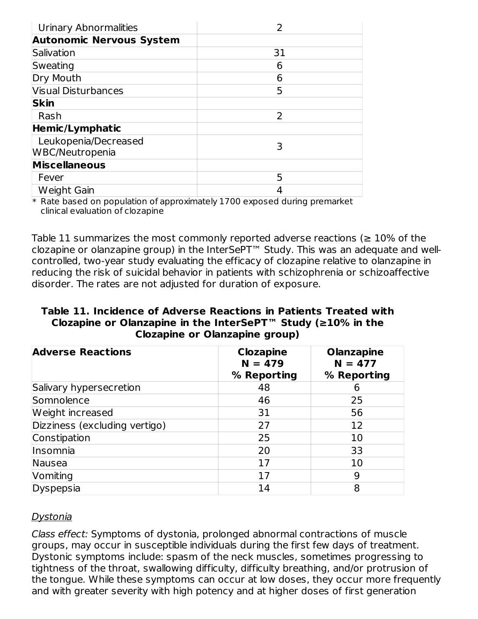| Urinary Abnormalities           |    |
|---------------------------------|----|
| <b>Autonomic Nervous System</b> |    |
| Salivation                      | 31 |
| Sweating                        | 6  |
| Dry Mouth                       | 6  |
| <b>Visual Disturbances</b>      | 5  |
| <b>Skin</b>                     |    |
| Rash                            | 2  |
| <b>Hemic/Lymphatic</b>          |    |
| Leukopenia/Decreased            | 3  |
| WBC/Neutropenia                 |    |
| <b>Miscellaneous</b>            |    |
| Fever                           | 5  |
| Weight Gain                     |    |

\* Rate based on population of approximately 1700 exposed during premarket clinical evaluation of clozapine

Table 11 summarizes the most commonly reported adverse reactions ( $\geq 10\%$  of the clozapine or olanzapine group) in the InterSePT™ Study. This was an adequate and wellcontrolled, two-year study evaluating the efficacy of clozapine relative to olanzapine in reducing the risk of suicidal behavior in patients with schizophrenia or schizoaffective disorder. The rates are not adjusted for duration of exposure.

#### **Table 11. Incidence of Adverse Reactions in Patients Treated with Clozapine or Olanzapine in the InterSePT™ Study (≥10% in the Clozapine or Olanzapine group)**

| <b>Adverse Reactions</b>      | <b>Clozapine</b><br>$N = 479$<br>% Reporting | <b>Olanzapine</b><br>$N = 477$<br>% Reporting |  |  |
|-------------------------------|----------------------------------------------|-----------------------------------------------|--|--|
| Salivary hypersecretion       | 48                                           |                                               |  |  |
| Somnolence                    | 46                                           | 25                                            |  |  |
| Weight increased              | 31                                           | 56                                            |  |  |
| Dizziness (excluding vertigo) | 27                                           | 12                                            |  |  |
| Constipation                  | 25                                           | 10                                            |  |  |
| Insomnia                      | 20                                           | 33                                            |  |  |
| Nausea                        | 17                                           | 10                                            |  |  |
| Vomiting                      | 17                                           | 9                                             |  |  |
| Dyspepsia                     | 14                                           | 8                                             |  |  |

#### Dystonia

Class effect: Symptoms of dystonia, prolonged abnormal contractions of muscle groups, may occur in susceptible individuals during the first few days of treatment. Dystonic symptoms include: spasm of the neck muscles, sometimes progressing to tightness of the throat, swallowing difficulty, difficulty breathing, and/or protrusion of the tongue. While these symptoms can occur at low doses, they occur more frequently and with greater severity with high potency and at higher doses of first generation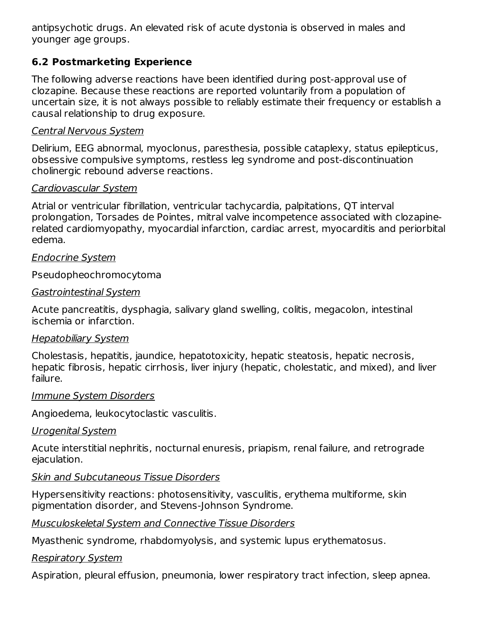antipsychotic drugs. An elevated risk of acute dystonia is observed in males and younger age groups.

### **6.2 Postmarketing Experience**

The following adverse reactions have been identified during post-approval use of clozapine. Because these reactions are reported voluntarily from a population of uncertain size, it is not always possible to reliably estimate their frequency or establish a causal relationship to drug exposure.

#### Central Nervous System

Delirium, EEG abnormal, myoclonus, paresthesia, possible cataplexy, status epilepticus, obsessive compulsive symptoms, restless leg syndrome and post-discontinuation cholinergic rebound adverse reactions.

#### Cardiovascular System

Atrial or ventricular fibrillation, ventricular tachycardia, palpitations, QT interval prolongation, Torsades de Pointes, mitral valve incompetence associated with clozapinerelated cardiomyopathy, myocardial infarction, cardiac arrest, myocarditis and periorbital edema.

#### Endocrine System

Pseudopheochromocytoma

#### Gastrointestinal System

Acute pancreatitis, dysphagia, salivary gland swelling, colitis, megacolon, intestinal ischemia or infarction.

#### Hepatobiliary System

Cholestasis, hepatitis, jaundice, hepatotoxicity, hepatic steatosis, hepatic necrosis, hepatic fibrosis, hepatic cirrhosis, liver injury (hepatic, cholestatic, and mixed), and liver failure.

#### Immune System Disorders

Angioedema, leukocytoclastic vasculitis.

#### Urogenital System

Acute interstitial nephritis, nocturnal enuresis, priapism, renal failure, and retrograde ejaculation.

#### **Skin and Subcutaneous Tissue Disorders**

Hypersensitivity reactions: photosensitivity, vasculitis, erythema multiforme, skin pigmentation disorder, and Stevens-Johnson Syndrome.

#### Musculoskeletal System and Connective Tissue Disorders

Myasthenic syndrome, rhabdomyolysis, and systemic lupus erythematosus.

### Respiratory System

Aspiration, pleural effusion, pneumonia, lower respiratory tract infection, sleep apnea.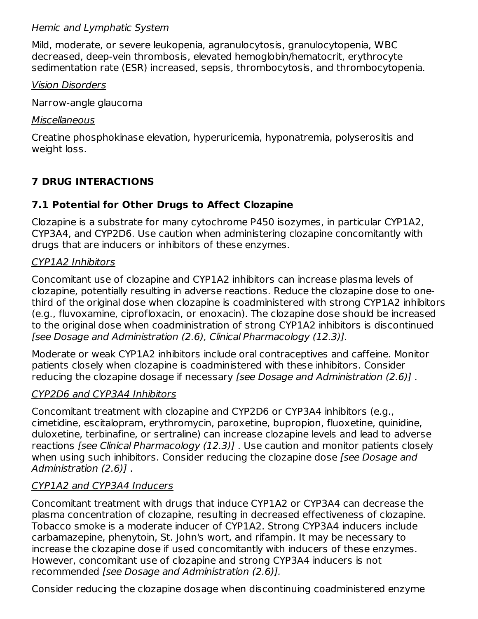#### Hemic and Lymphatic System

Mild, moderate, or severe leukopenia, agranulocytosis, granulocytopenia, WBC decreased, deep-vein thrombosis, elevated hemoglobin/hematocrit, erythrocyte sedimentation rate (ESR) increased, sepsis, thrombocytosis, and thrombocytopenia.

#### Vision Disorders

Narrow-angle glaucoma

#### **Miscellaneous**

Creatine phosphokinase elevation, hyperuricemia, hyponatremia, polyserositis and weight loss.

# **7 DRUG INTERACTIONS**

### **7.1 Potential for Other Drugs to Affect Clozapine**

Clozapine is a substrate for many cytochrome P450 isozymes, in particular CYP1A2, CYP3A4, and CYP2D6. Use caution when administering clozapine concomitantly with drugs that are inducers or inhibitors of these enzymes.

#### CYP1A2 Inhibitors

Concomitant use of clozapine and CYP1A2 inhibitors can increase plasma levels of clozapine, potentially resulting in adverse reactions. Reduce the clozapine dose to onethird of the original dose when clozapine is coadministered with strong CYP1A2 inhibitors (e.g., fluvoxamine, ciprofloxacin, or enoxacin). The clozapine dose should be increased to the original dose when coadministration of strong CYP1A2 inhibitors is discontinued [see Dosage and Administration (2.6), Clinical Pharmacology (12.3)].

Moderate or weak CYP1A2 inhibitors include oral contraceptives and caffeine. Monitor patients closely when clozapine is coadministered with these inhibitors. Consider reducing the clozapine dosage if necessary [see Dosage and Administration (2.6)] .

#### CYP2D6 and CYP3A4 Inhibitors

Concomitant treatment with clozapine and CYP2D6 or CYP3A4 inhibitors (e.g., cimetidine, escitalopram, erythromycin, paroxetine, bupropion, fluoxetine, quinidine, duloxetine, terbinafine, or sertraline) can increase clozapine levels and lead to adverse reactions [see Clinical Pharmacology (12.3)] . Use caution and monitor patients closely when using such inhibitors. Consider reducing the clozapine dose [see Dosage and Administration (2.6)] .

### CYP1A2 and CYP3A4 Inducers

Concomitant treatment with drugs that induce CYP1A2 or CYP3A4 can decrease the plasma concentration of clozapine, resulting in decreased effectiveness of clozapine. Tobacco smoke is a moderate inducer of CYP1A2. Strong CYP3A4 inducers include carbamazepine, phenytoin, St. John's wort, and rifampin. It may be necessary to increase the clozapine dose if used concomitantly with inducers of these enzymes. However, concomitant use of clozapine and strong CYP3A4 inducers is not recommended [see Dosage and Administration (2.6)].

Consider reducing the clozapine dosage when discontinuing coadministered enzyme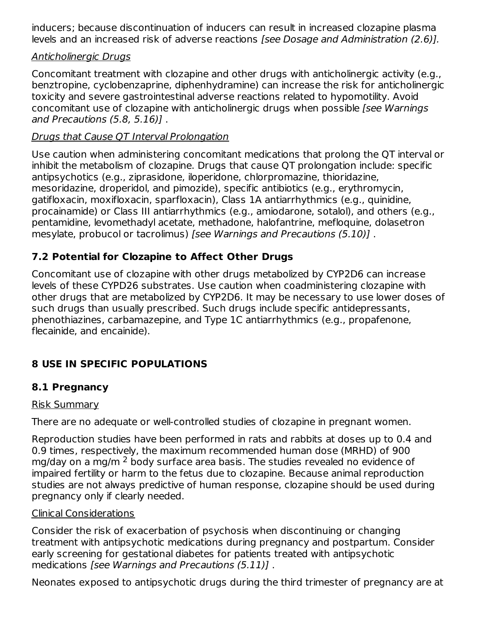inducers; because discontinuation of inducers can result in increased clozapine plasma levels and an increased risk of adverse reactions [see Dosage and Administration (2.6)].

### Anticholinergic Drugs

Concomitant treatment with clozapine and other drugs with anticholinergic activity (e.g., benztropine, cyclobenzaprine, diphenhydramine) can increase the risk for anticholinergic toxicity and severe gastrointestinal adverse reactions related to hypomotility. Avoid concomitant use of clozapine with anticholinergic drugs when possible [see Warnings and Precautions (5.8, 5.16)] .

### Drugs that Cause QT Interval Prolongation

Use caution when administering concomitant medications that prolong the QT interval or inhibit the metabolism of clozapine. Drugs that cause QT prolongation include: specific antipsychotics (e.g., ziprasidone, iloperidone, chlorpromazine, thioridazine, mesoridazine, droperidol, and pimozide), specific antibiotics (e.g., erythromycin, gatifloxacin, moxifloxacin, sparfloxacin), Class 1A antiarrhythmics (e.g., quinidine, procainamide) or Class III antiarrhythmics (e.g., amiodarone, sotalol), and others (e.g., pentamidine, levomethadyl acetate, methadone, halofantrine, mefloquine, dolasetron mesylate, probucol or tacrolimus) [see Warnings and Precautions (5.10)] .

### **7.2 Potential for Clozapine to Affect Other Drugs**

Concomitant use of clozapine with other drugs metabolized by CYP2D6 can increase levels of these CYPD26 substrates. Use caution when coadministering clozapine with other drugs that are metabolized by CYP2D6. It may be necessary to use lower doses of such drugs than usually prescribed. Such drugs include specific antidepressants, phenothiazines, carbamazepine, and Type 1C antiarrhythmics (e.g., propafenone, flecainide, and encainide).

# **8 USE IN SPECIFIC POPULATIONS**

### **8.1 Pregnancy**

#### Risk Summary

There are no adequate or well-controlled studies of clozapine in pregnant women.

Reproduction studies have been performed in rats and rabbits at doses up to 0.4 and 0.9 times, respectively, the maximum recommended human dose (MRHD) of 900 mg/day on a mg/m <sup>2</sup> body surface area basis. The studies revealed no evidence of impaired fertility or harm to the fetus due to clozapine. Because animal reproduction studies are not always predictive of human response, clozapine should be used during pregnancy only if clearly needed.

#### Clinical Considerations

Consider the risk of exacerbation of psychosis when discontinuing or changing treatment with antipsychotic medications during pregnancy and postpartum. Consider early screening for gestational diabetes for patients treated with antipsychotic medications [see Warnings and Precautions (5.11)] .

Neonates exposed to antipsychotic drugs during the third trimester of pregnancy are at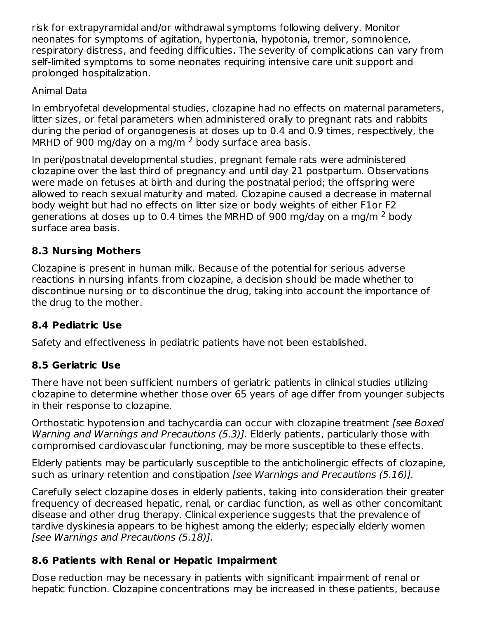risk for extrapyramidal and/or withdrawal symptoms following delivery. Monitor neonates for symptoms of agitation, hypertonia, hypotonia, tremor, somnolence, respiratory distress, and feeding difficulties. The severity of complications can vary from self-limited symptoms to some neonates requiring intensive care unit support and prolonged hospitalization.

### Animal Data

In embryofetal developmental studies, clozapine had no effects on maternal parameters, litter sizes, or fetal parameters when administered orally to pregnant rats and rabbits during the period of organogenesis at doses up to 0.4 and 0.9 times, respectively, the MRHD of 900 mg/day on a mg/m  $^2$  body surface area basis.

In peri/postnatal developmental studies, pregnant female rats were administered clozapine over the last third of pregnancy and until day 21 postpartum. Observations were made on fetuses at birth and during the postnatal period; the offspring were allowed to reach sexual maturity and mated. Clozapine caused a decrease in maternal body weight but had no effects on litter size or body weights of either F1or F2 generations at doses up to 0.4 times the MRHD of 900 mg/day on a mg/m  $^2$  body surface area basis.

### **8.3 Nursing Mothers**

Clozapine is present in human milk. Because of the potential for serious adverse reactions in nursing infants from clozapine, a decision should be made whether to discontinue nursing or to discontinue the drug, taking into account the importance of the drug to the mother.

### **8.4 Pediatric Use**

Safety and effectiveness in pediatric patients have not been established.

# **8.5 Geriatric Use**

There have not been sufficient numbers of geriatric patients in clinical studies utilizing clozapine to determine whether those over 65 years of age differ from younger subjects in their response to clozapine.

Orthostatic hypotension and tachycardia can occur with clozapine treatment [see Boxed] Warning and Warnings and Precautions (5.3)]. Elderly patients, particularly those with compromised cardiovascular functioning, may be more susceptible to these effects.

Elderly patients may be particularly susceptible to the anticholinergic effects of clozapine, such as urinary retention and constipation [see Warnings and Precautions (5.16)].

Carefully select clozapine doses in elderly patients, taking into consideration their greater frequency of decreased hepatic, renal, or cardiac function, as well as other concomitant disease and other drug therapy. Clinical experience suggests that the prevalence of tardive dyskinesia appears to be highest among the elderly; especially elderly women [see Warnings and Precautions (5.18)].

# **8.6 Patients with Renal or Hepatic Impairment**

Dose reduction may be necessary in patients with significant impairment of renal or hepatic function. Clozapine concentrations may be increased in these patients, because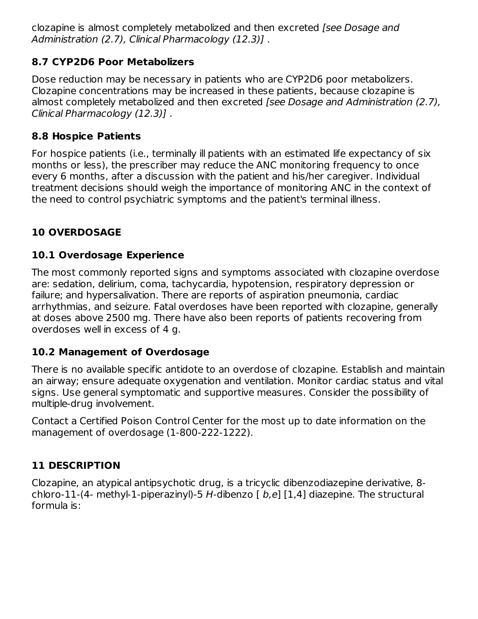clozapine is almost completely metabolized and then excreted [see Dosage and Administration (2.7), Clinical Pharmacology (12.3)].

### **8.7 CYP2D6 Poor Metabolizers**

Dose reduction may be necessary in patients who are CYP2D6 poor metabolizers. Clozapine concentrations may be increased in these patients, because clozapine is almost completely metabolized and then excreted [see Dosage and Administration (2.7), Clinical Pharmacology (12.3)] .

### **8.8 Hospice Patients**

For hospice patients (i.e., terminally ill patients with an estimated life expectancy of six months or less), the prescriber may reduce the ANC monitoring frequency to once every 6 months, after a discussion with the patient and his/her caregiver. Individual treatment decisions should weigh the importance of monitoring ANC in the context of the need to control psychiatric symptoms and the patient's terminal illness.

# **10 OVERDOSAGE**

# **10.1 Overdosage Experience**

The most commonly reported signs and symptoms associated with clozapine overdose are: sedation, delirium, coma, tachycardia, hypotension, respiratory depression or failure; and hypersalivation. There are reports of aspiration pneumonia, cardiac arrhythmias, and seizure. Fatal overdoses have been reported with clozapine, generally at doses above 2500 mg. There have also been reports of patients recovering from overdoses well in excess of 4 g.

### **10.2 Management of Overdosage**

There is no available specific antidote to an overdose of clozapine. Establish and maintain an airway; ensure adequate oxygenation and ventilation. Monitor cardiac status and vital signs. Use general symptomatic and supportive measures. Consider the possibility of multiple-drug involvement.

Contact a Certified Poison Control Center for the most up to date information on the management of overdosage (1-800-222-1222).

# **11 DESCRIPTION**

Clozapine, an atypical antipsychotic drug, is a tricyclic dibenzodiazepine derivative, 8 chloro-11-(4- methyl-1-piperazinyl)-5 H-dibenzo  $[$  b,e]  $[1,4]$  diazepine. The structural formula is: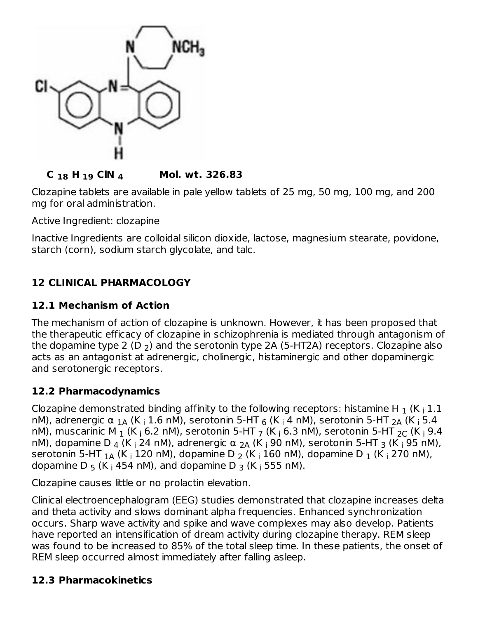

### **C H ClN Mol. wt. 326.83 18 19 4**

Clozapine tablets are available in pale yellow tablets of 25 mg, 50 mg, 100 mg, and 200 mg for oral administration.

Active Ingredient: clozapine

Inactive Ingredients are colloidal silicon dioxide, lactose, magnesium stearate, povidone, starch (corn), sodium starch glycolate, and talc.

# **12 CLINICAL PHARMACOLOGY**

#### **12.1 Mechanism of Action**

The mechanism of action of clozapine is unknown. However, it has been proposed that the therapeutic efficacy of clozapine in schizophrenia is mediated through antagonism of the dopamine type 2 (D  $_{\rm 2}$ ) and the serotonin type 2A (5-HT2A) receptors. Clozapine also acts as an antagonist at adrenergic, cholinergic, histaminergic and other dopaminergic and serotonergic receptors.

#### **12.2 Pharmacodynamics**

Clozapine demonstrated binding affinity to the following receptors: histamine H  $_1$  (K  $_\mathrm{i}$  1.1 nM), adrenergic α <sub>1A</sub> (K <sub>i</sub> 1.6 nM), serotonin 5-HT <sub>6</sub> (K <sub>i</sub> 4 nM), serotonin 5-HT <sub>2A</sub> (K <sub>i</sub> 5.4 nM), muscarinic M  $_1$  (K  $_1$  6.2 nM), serotonin 5-HT  $_7$  (K  $_1$  6.3 nM), serotonin 5-HT  $_{2{\sf C}}$  (K  $_1$  9.4 nM), dopamine D <sub>4</sub> (K <sub>i</sub> 24 nM), adrenergic α <sub>2A</sub> (K <sub>i</sub> 90 nM), serotonin 5-HT <sub>3</sub> (K <sub>i</sub> 95 nM), serotonin 5-HT  $_{1\mathrm{A}}$  (K  $_{\mathrm{i}}$  120 nM), dopamine D  $_{2}$  (K  $_{\mathrm{i}}$  160 nM), dopamine D  $_{1}$  (K  $_{\mathrm{i}}$  270 nM), dopamine D  $_5$  (K  $_1$  454 nM), and dopamine D  $_3$  (K  $_1$  555 nM).

Clozapine causes little or no prolactin elevation.

Clinical electroencephalogram (EEG) studies demonstrated that clozapine increases delta and theta activity and slows dominant alpha frequencies. Enhanced synchronization occurs. Sharp wave activity and spike and wave complexes may also develop. Patients have reported an intensification of dream activity during clozapine therapy. REM sleep was found to be increased to 85% of the total sleep time. In these patients, the onset of REM sleep occurred almost immediately after falling asleep.

### **12.3 Pharmacokinetics**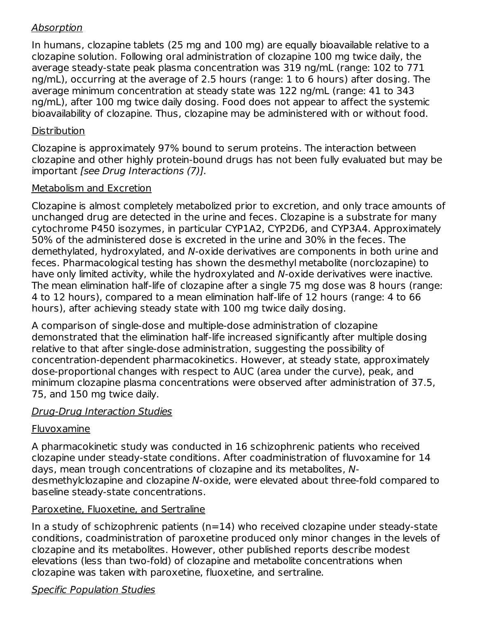### Absorption

In humans, clozapine tablets (25 mg and 100 mg) are equally bioavailable relative to a clozapine solution. Following oral administration of clozapine 100 mg twice daily, the average steady-state peak plasma concentration was 319 ng/mL (range: 102 to 771 ng/mL), occurring at the average of 2.5 hours (range: 1 to 6 hours) after dosing. The average minimum concentration at steady state was 122 ng/mL (range: 41 to 343 ng/mL), after 100 mg twice daily dosing. Food does not appear to affect the systemic bioavailability of clozapine. Thus, clozapine may be administered with or without food.

### **Distribution**

Clozapine is approximately 97% bound to serum proteins. The interaction between clozapine and other highly protein-bound drugs has not been fully evaluated but may be important [see Drug Interactions (7)].

### Metabolism and Excretion

Clozapine is almost completely metabolized prior to excretion, and only trace amounts of unchanged drug are detected in the urine and feces. Clozapine is a substrate for many cytochrome P450 isozymes, in particular CYP1A2, CYP2D6, and CYP3A4. Approximately 50% of the administered dose is excreted in the urine and 30% in the feces. The demethylated, hydroxylated, and N-oxide derivatives are components in both urine and feces. Pharmacological testing has shown the desmethyl metabolite (norclozapine) to have only limited activity, while the hydroxylated and N-oxide derivatives were inactive. The mean elimination half-life of clozapine after a single 75 mg dose was 8 hours (range: 4 to 12 hours), compared to a mean elimination half-life of 12 hours (range: 4 to 66 hours), after achieving steady state with 100 mg twice daily dosing.

A comparison of single-dose and multiple-dose administration of clozapine demonstrated that the elimination half-life increased significantly after multiple dosing relative to that after single-dose administration, suggesting the possibility of concentration-dependent pharmacokinetics. However, at steady state, approximately dose-proportional changes with respect to AUC (area under the curve), peak, and minimum clozapine plasma concentrations were observed after administration of 37.5, 75, and 150 mg twice daily.

### Drug-Drug Interaction Studies

# Fluvoxamine

A pharmacokinetic study was conducted in 16 schizophrenic patients who received clozapine under steady-state conditions. After coadministration of fluvoxamine for 14 days, mean trough concentrations of clozapine and its metabolites, Ndesmethylclozapine and clozapine N-oxide, were elevated about three-fold compared to baseline steady-state concentrations.

### Paroxetine, Fluoxetine, and Sertraline

In a study of schizophrenic patients  $(n=14)$  who received clozapine under steady-state conditions, coadministration of paroxetine produced only minor changes in the levels of clozapine and its metabolites. However, other published reports describe modest elevations (less than two-fold) of clozapine and metabolite concentrations when clozapine was taken with paroxetine, fluoxetine, and sertraline.

# Specific Population Studies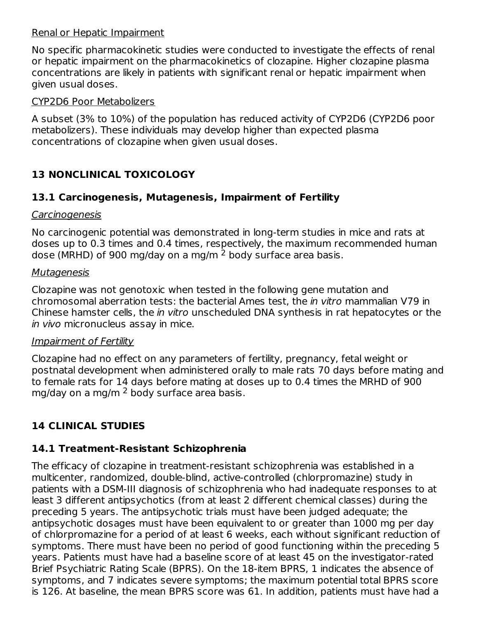#### Renal or Hepatic Impairment

No specific pharmacokinetic studies were conducted to investigate the effects of renal or hepatic impairment on the pharmacokinetics of clozapine. Higher clozapine plasma concentrations are likely in patients with significant renal or hepatic impairment when given usual doses.

#### CYP2D6 Poor Metabolizers

A subset (3% to 10%) of the population has reduced activity of CYP2D6 (CYP2D6 poor metabolizers). These individuals may develop higher than expected plasma concentrations of clozapine when given usual doses.

# **13 NONCLINICAL TOXICOLOGY**

### **13.1 Carcinogenesis, Mutagenesis, Impairment of Fertility**

#### **Carcinogenesis**

No carcinogenic potential was demonstrated in long-term studies in mice and rats at doses up to 0.3 times and 0.4 times, respectively, the maximum recommended human dose (MRHD) of 900 mg/day on a mg/m  $^2$  body surface area basis.

### **Mutagenesis**

Clozapine was not genotoxic when tested in the following gene mutation and chromosomal aberration tests: the bacterial Ames test, the in vitro mammalian V79 in Chinese hamster cells, the in vitro unscheduled DNA synthesis in rat hepatocytes or the in vivo micronucleus assay in mice.

#### Impairment of Fertility

Clozapine had no effect on any parameters of fertility, pregnancy, fetal weight or postnatal development when administered orally to male rats 70 days before mating and to female rats for 14 days before mating at doses up to 0.4 times the MRHD of 900 mg/day on a mg/m <sup>2</sup> body surface area basis.

# **14 CLINICAL STUDIES**

# **14.1 Treatment-Resistant Schizophrenia**

The efficacy of clozapine in treatment-resistant schizophrenia was established in a multicenter, randomized, double-blind, active-controlled (chlorpromazine) study in patients with a DSM-III diagnosis of schizophrenia who had inadequate responses to at least 3 different antipsychotics (from at least 2 different chemical classes) during the preceding 5 years. The antipsychotic trials must have been judged adequate; the antipsychotic dosages must have been equivalent to or greater than 1000 mg per day of chlorpromazine for a period of at least 6 weeks, each without significant reduction of symptoms. There must have been no period of good functioning within the preceding 5 years. Patients must have had a baseline score of at least 45 on the investigator-rated Brief Psychiatric Rating Scale (BPRS). On the 18-item BPRS, 1 indicates the absence of symptoms, and 7 indicates severe symptoms; the maximum potential total BPRS score is 126. At baseline, the mean BPRS score was 61. In addition, patients must have had a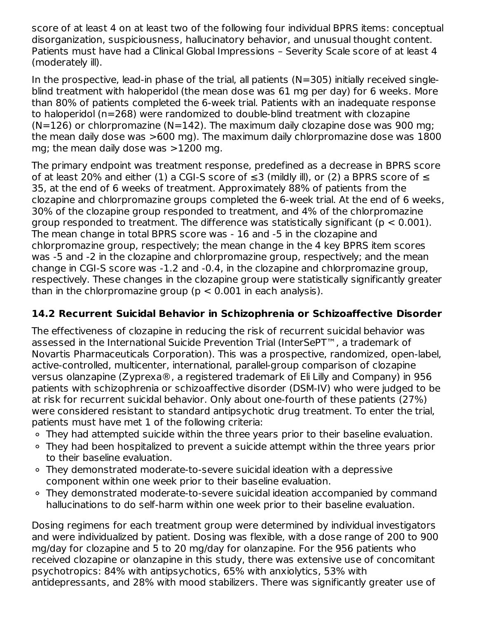score of at least 4 on at least two of the following four individual BPRS items: conceptual disorganization, suspiciousness, hallucinatory behavior, and unusual thought content. Patients must have had a Clinical Global Impressions – Severity Scale score of at least 4 (moderately ill).

In the prospective, lead-in phase of the trial, all patients ( $N=305$ ) initially received singleblind treatment with haloperidol (the mean dose was 61 mg per day) for 6 weeks. More than 80% of patients completed the 6-week trial. Patients with an inadequate response to haloperidol (n=268) were randomized to double-blind treatment with clozapine  $(N=126)$  or chlorpromazine  $(N=142)$ . The maximum daily clozapine dose was 900 mg; the mean daily dose was >600 mg). The maximum daily chlorpromazine dose was 1800 mg; the mean daily dose was >1200 mg.

The primary endpoint was treatment response, predefined as a decrease in BPRS score of at least 20% and either (1) a CGI-S score of  $\leq$ 3 (mildly ill), or (2) a BPRS score of  $\leq$ 35, at the end of 6 weeks of treatment. Approximately 88% of patients from the clozapine and chlorpromazine groups completed the 6-week trial. At the end of 6 weeks, 30% of the clozapine group responded to treatment, and 4% of the chlorpromazine group responded to treatment. The difference was statistically significant ( $p < 0.001$ ). The mean change in total BPRS score was - 16 and -5 in the clozapine and chlorpromazine group, respectively; the mean change in the 4 key BPRS item scores was -5 and -2 in the clozapine and chlorpromazine group, respectively; and the mean change in CGI-S score was -1.2 and -0.4, in the clozapine and chlorpromazine group, respectively. These changes in the clozapine group were statistically significantly greater than in the chlorpromazine group ( $p < 0.001$  in each analysis).

# **14.2 Recurrent Suicidal Behavior in Schizophrenia or Schizoaffective Disorder**

The effectiveness of clozapine in reducing the risk of recurrent suicidal behavior was assessed in the International Suicide Prevention Trial (InterSePT™, a trademark of Novartis Pharmaceuticals Corporation). This was a prospective, randomized, open-label, active-controlled, multicenter, international, parallel-group comparison of clozapine versus olanzapine (Zyprexa®, a registered trademark of Eli Lilly and Company) in 956 patients with schizophrenia or schizoaffective disorder (DSM-IV) who were judged to be at risk for recurrent suicidal behavior. Only about one-fourth of these patients (27%) were considered resistant to standard antipsychotic drug treatment. To enter the trial, patients must have met 1 of the following criteria:

- ∘ They had attempted suicide within the three years prior to their baseline evaluation.
- They had been hospitalized to prevent a suicide attempt within the three years prior to their baseline evaluation.
- They demonstrated moderate-to-severe suicidal ideation with a depressive component within one week prior to their baseline evaluation.
- They demonstrated moderate-to-severe suicidal ideation accompanied by command hallucinations to do self-harm within one week prior to their baseline evaluation.

Dosing regimens for each treatment group were determined by individual investigators and were individualized by patient. Dosing was flexible, with a dose range of 200 to 900 mg/day for clozapine and 5 to 20 mg/day for olanzapine. For the 956 patients who received clozapine or olanzapine in this study, there was extensive use of concomitant psychotropics: 84% with antipsychotics, 65% with anxiolytics, 53% with antidepressants, and 28% with mood stabilizers. There was significantly greater use of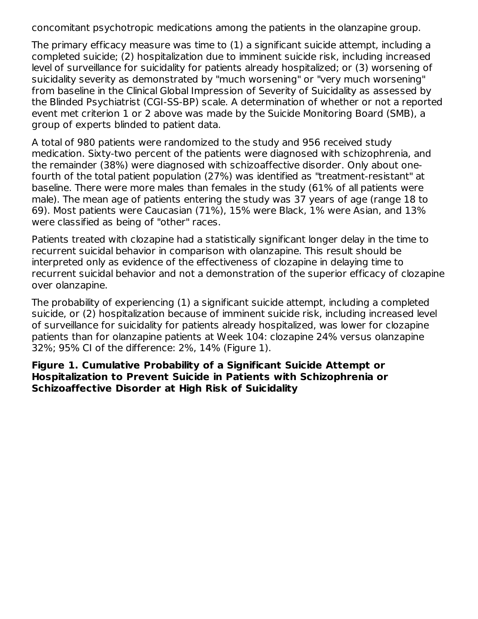concomitant psychotropic medications among the patients in the olanzapine group.

The primary efficacy measure was time to (1) a significant suicide attempt, including a completed suicide; (2) hospitalization due to imminent suicide risk, including increased level of surveillance for suicidality for patients already hospitalized; or (3) worsening of suicidality severity as demonstrated by "much worsening" or "very much worsening" from baseline in the Clinical Global Impression of Severity of Suicidality as assessed by the Blinded Psychiatrist (CGI-SS-BP) scale. A determination of whether or not a reported event met criterion 1 or 2 above was made by the Suicide Monitoring Board (SMB), a group of experts blinded to patient data.

A total of 980 patients were randomized to the study and 956 received study medication. Sixty-two percent of the patients were diagnosed with schizophrenia, and the remainder (38%) were diagnosed with schizoaffective disorder. Only about onefourth of the total patient population (27%) was identified as "treatment-resistant" at baseline. There were more males than females in the study (61% of all patients were male). The mean age of patients entering the study was 37 years of age (range 18 to 69). Most patients were Caucasian (71%), 15% were Black, 1% were Asian, and 13% were classified as being of "other" races.

Patients treated with clozapine had a statistically significant longer delay in the time to recurrent suicidal behavior in comparison with olanzapine. This result should be interpreted only as evidence of the effectiveness of clozapine in delaying time to recurrent suicidal behavior and not a demonstration of the superior efficacy of clozapine over olanzapine.

The probability of experiencing (1) a significant suicide attempt, including a completed suicide, or (2) hospitalization because of imminent suicide risk, including increased level of surveillance for suicidality for patients already hospitalized, was lower for clozapine patients than for olanzapine patients at Week 104: clozapine 24% versus olanzapine 32%; 95% CI of the difference: 2%, 14% (Figure 1).

**Figure 1. Cumulative Probability of a Significant Suicide Attempt or Hospitalization to Prevent Suicide in Patients with Schizophrenia or Schizoaffective Disorder at High Risk of Suicidality**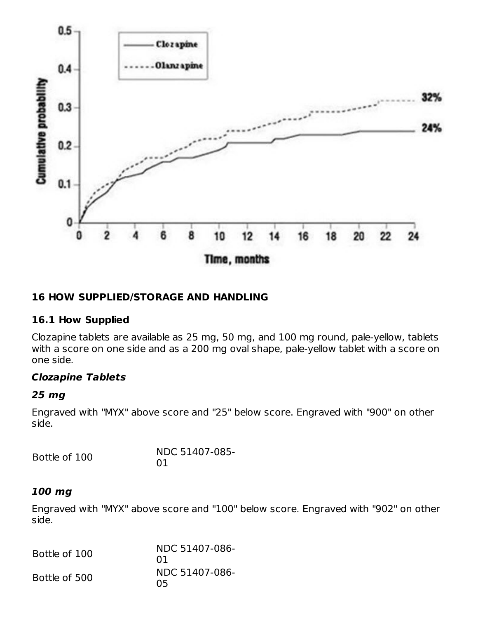

#### **16 HOW SUPPLIED/STORAGE AND HANDLING**

#### **16.1 How Supplied**

Clozapine tablets are available as 25 mg, 50 mg, and 100 mg round, pale-yellow, tablets with a score on one side and as a 200 mg oval shape, pale-yellow tablet with a score on one side.

#### **Clozapine Tablets**

#### **25 mg**

Engraved with "MYX" above score and "25" below score. Engraved with "900" on other side.

| Bottle of 100 | NDC 51407-085- |  |  |
|---------------|----------------|--|--|
|               | 01             |  |  |

#### **100 mg**

Engraved with "MYX" above score and "100" below score. Engraved with "902" on other side.

| Bottle of 100 | NDC 51407-086-<br>01 |
|---------------|----------------------|
| Bottle of 500 | NDC 51407-086-<br>05 |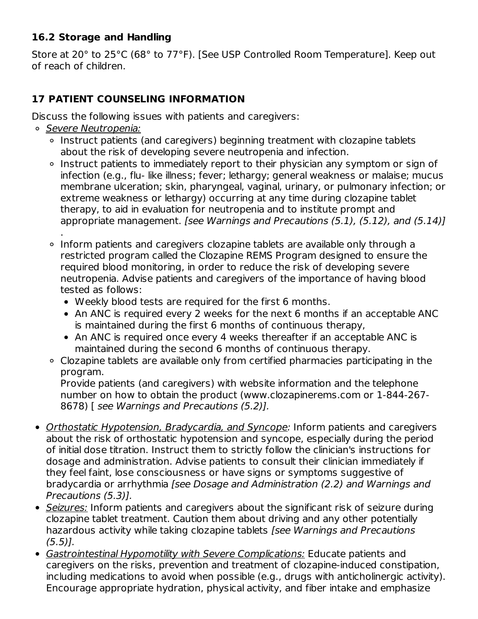### **16.2 Storage and Handling**

Store at 20° to 25°C (68° to 77°F). [See USP Controlled Room Temperature]. Keep out of reach of children.

# **17 PATIENT COUNSELING INFORMATION**

Discuss the following issues with patients and caregivers:

- o Severe Neutropenia:
	- o Instruct patients (and caregivers) beginning treatment with clozapine tablets about the risk of developing severe neutropenia and infection.
	- o Instruct patients to immediately report to their physician any symptom or sign of infection (e.g., flu- like illness; fever; lethargy; general weakness or malaise; mucus membrane ulceration; skin, pharyngeal, vaginal, urinary, or pulmonary infection; or extreme weakness or lethargy) occurring at any time during clozapine tablet therapy, to aid in evaluation for neutropenia and to institute prompt and appropriate management. [see Warnings and Precautions (5.1), (5.12), and (5.14)] .
	- Inform patients and caregivers clozapine tablets are available only through a restricted program called the Clozapine REMS Program designed to ensure the required blood monitoring, in order to reduce the risk of developing severe neutropenia. Advise patients and caregivers of the importance of having blood tested as follows:
		- Weekly blood tests are required for the first 6 months.
		- An ANC is required every 2 weeks for the next 6 months if an acceptable ANC is maintained during the first 6 months of continuous therapy,
		- An ANC is required once every 4 weeks thereafter if an acceptable ANC is maintained during the second 6 months of continuous therapy.
	- Clozapine tablets are available only from certified pharmacies participating in the program.

Provide patients (and caregivers) with website information and the telephone number on how to obtain the product (www.clozapinerems.com or 1-844-267- 8678) [ see Warnings and Precautions (5.2)].

- Orthostatic Hypotension, Bradycardia, and Syncope: Inform patients and caregivers about the risk of orthostatic hypotension and syncope, especially during the period of initial dose titration. Instruct them to strictly follow the clinician's instructions for dosage and administration. Advise patients to consult their clinician immediately if they feel faint, lose consciousness or have signs or symptoms suggestive of bradycardia or arrhythmia [see Dosage and Administration (2.2) and Warnings and Precautions (5.3)].
- Seizures: Inform patients and caregivers about the significant risk of seizure during clozapine tablet treatment. Caution them about driving and any other potentially hazardous activity while taking clozapine tablets [see Warnings and Precautions  $(5.5)$ ].
- Gastrointestinal Hypomotility with Severe Complications: Educate patients and caregivers on the risks, prevention and treatment of clozapine-induced constipation, including medications to avoid when possible (e.g., drugs with anticholinergic activity). Encourage appropriate hydration, physical activity, and fiber intake and emphasize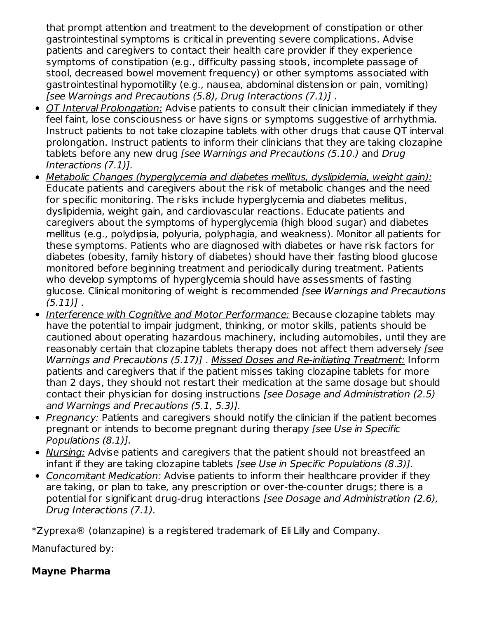that prompt attention and treatment to the development of constipation or other gastrointestinal symptoms is critical in preventing severe complications. Advise patients and caregivers to contact their health care provider if they experience symptoms of constipation (e.g., difficulty passing stools, incomplete passage of stool, decreased bowel movement frequency) or other symptoms associated with gastrointestinal hypomotility (e.g., nausea, abdominal distension or pain, vomiting) [see Warnings and Precautions (5.8), Drug Interactions (7.1)] .

- QT Interval Prolongation: Advise patients to consult their clinician immediately if they feel faint, lose consciousness or have signs or symptoms suggestive of arrhythmia. Instruct patients to not take clozapine tablets with other drugs that cause QT interval prolongation. Instruct patients to inform their clinicians that they are taking clozapine tablets before any new drug [see Warnings and Precautions (5.10.) and Drug Interactions (7.1)].
- Metabolic Changes (hyperglycemia and diabetes mellitus, dyslipidemia, weight gain): Educate patients and caregivers about the risk of metabolic changes and the need for specific monitoring. The risks include hyperglycemia and diabetes mellitus, dyslipidemia, weight gain, and cardiovascular reactions. Educate patients and caregivers about the symptoms of hyperglycemia (high blood sugar) and diabetes mellitus (e.g., polydipsia, polyuria, polyphagia, and weakness). Monitor all patients for these symptoms. Patients who are diagnosed with diabetes or have risk factors for diabetes (obesity, family history of diabetes) should have their fasting blood glucose monitored before beginning treatment and periodically during treatment. Patients who develop symptoms of hyperglycemia should have assessments of fasting glucose. Clinical monitoring of weight is recommended [see Warnings and Precautions  $(5.11)$ .
- Interference with Cognitive and Motor Performance: Because clozapine tablets may have the potential to impair judgment, thinking, or motor skills, patients should be cautioned about operating hazardous machinery, including automobiles, until they are reasonably certain that clozapine tablets therapy does not affect them adversely (see Warnings and Precautions (5.17)] . Missed Doses and Re-initiating Treatment: Inform patients and caregivers that if the patient misses taking clozapine tablets for more than 2 days, they should not restart their medication at the same dosage but should contact their physician for dosing instructions [see Dosage and Administration (2.5) and Warnings and Precautions (5.1, 5.3)].
- Pregnancy: Patients and caregivers should notify the clinician if the patient becomes pregnant or intends to become pregnant during therapy [see Use in Specific Populations (8.1)].
- Nursing: Advise patients and caregivers that the patient should not breastfeed an infant if they are taking clozapine tablets [see Use in Specific Populations (8.3)].
- Concomitant Medication: Advise patients to inform their healthcare provider if they are taking, or plan to take, any prescription or over-the-counter drugs; there is a potential for significant drug-drug interactions [see Dosage and Administration (2.6), Drug Interactions (7.1).

\*Zyprexa® (olanzapine) is a registered trademark of Eli Lilly and Company.

Manufactured by:

# **Mayne Pharma**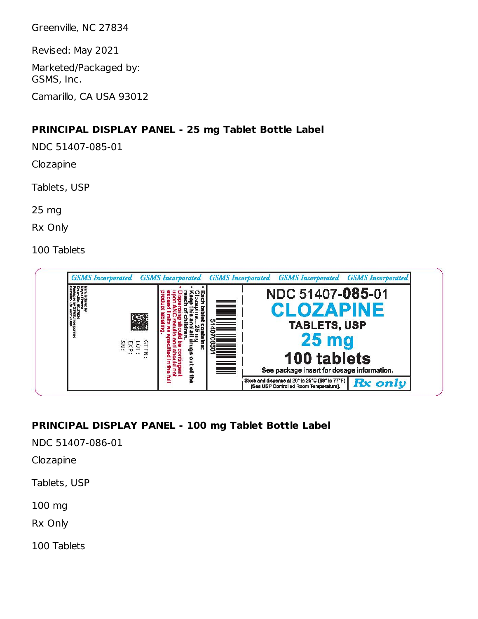Greenville, NC 27834

Revised: May 2021

Marketed/Packaged by: GSMS, Inc.

Camarillo, CA USA 93012

#### **PRINCIPAL DISPLAY PANEL - 25 mg Tablet Bottle Label**

NDC 51407-085-01

Clozapine

Tablets, USP

25 mg

Rx Only

100 Tablets



# **PRINCIPAL DISPLAY PANEL - 100 mg Tablet Bottle Label**

NDC 51407-086-01

Clozapine

Tablets, USP

100 mg

Rx Only

100 Tablets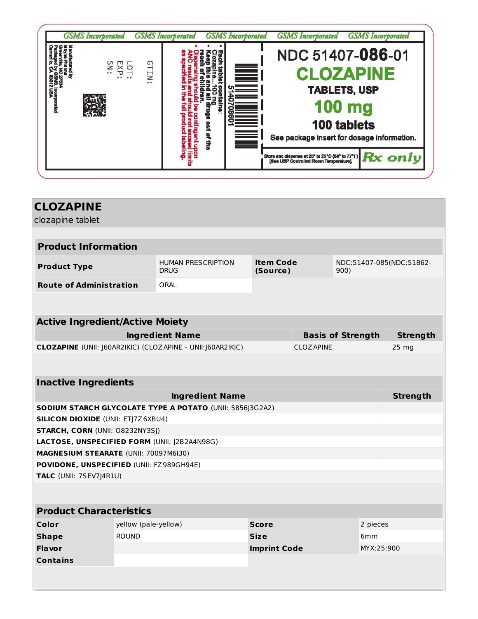| $\times$<br>٤, | <b>GTIN</b><br>$\circ$<br>$\ddot{\phantom{a}}$ | ē<br>Ž | $\equiv$ | NDC 51407-086-01<br><b>100 mg</b>      | <b>CLOZAPINE</b><br><b>TABLETS, USP</b><br>100 tablets<br>See package insert for dosage information.                                  |
|----------------|------------------------------------------------|--------|----------|----------------------------------------|---------------------------------------------------------------------------------------------------------------------------------------|
|                |                                                |        |          | [See USP Controlled Room Temperature]. | Store and dispense at 20 <sup>t</sup> to 25 <sup>t</sup> C (50 <sup>t</sup> to 77 <sup>t</sup> F) $\mathbf{R} \mathbf{x}$ <b>Only</b> |

| <b>CLOZAPINE</b>                             |                      |                                                            |                              |                   |                                  |                 |
|----------------------------------------------|----------------------|------------------------------------------------------------|------------------------------|-------------------|----------------------------------|-----------------|
| clozapine tablet                             |                      |                                                            |                              |                   |                                  |                 |
| <b>Product Information</b>                   |                      |                                                            |                              |                   |                                  |                 |
| <b>Product Type</b>                          |                      | <b>HUMAN PRESCRIPTION</b><br><b>DRUG</b>                   | <b>Item Code</b><br>(Source) |                   | NDC:51407-085(NDC:51862-<br>900) |                 |
| <b>Route of Administration</b>               |                      | ORAL                                                       |                              |                   |                                  |                 |
|                                              |                      |                                                            |                              |                   |                                  |                 |
| <b>Active Ingredient/Active Moiety</b>       |                      |                                                            |                              |                   |                                  |                 |
|                                              |                      | <b>Ingredient Name</b>                                     |                              |                   | <b>Basis of Strength</b>         | <b>Strength</b> |
|                                              |                      | CLOZAPINE (UNII: J60AR2IKIC) (CLOZAPINE - UNII:J60AR2IKIC) |                              | <b>CLOZ APINE</b> |                                  | 25 mg           |
|                                              |                      |                                                            |                              |                   |                                  |                 |
| <b>Inactive Ingredients</b>                  |                      |                                                            |                              |                   |                                  |                 |
|                                              |                      | <b>Ingredient Name</b>                                     |                              |                   |                                  | <b>Strength</b> |
|                                              |                      | SODIUM STARCH GLYCOLATE TYPE A POTATO (UNII: 5856J3G2A2)   |                              |                   |                                  |                 |
| <b>SILICON DIOXIDE (UNII: ETJ7Z6XBU4)</b>    |                      |                                                            |                              |                   |                                  |                 |
| STARCH, CORN (UNII: O8232NY3SJ)              |                      |                                                            |                              |                   |                                  |                 |
| LACTOSE, UNSPECIFIED FORM (UNII: J2B2A4N98G) |                      |                                                            |                              |                   |                                  |                 |
| MAGNESIUM STEARATE (UNII: 70097M6I30)        |                      |                                                            |                              |                   |                                  |                 |
| POVIDONE, UNSPECIFIED (UNII: FZ989GH94E)     |                      |                                                            |                              |                   |                                  |                 |
| TALC (UNII: 7SEV7J4R1U)                      |                      |                                                            |                              |                   |                                  |                 |
|                                              |                      |                                                            |                              |                   |                                  |                 |
| <b>Product Characteristics</b>               |                      |                                                            |                              |                   |                                  |                 |
| <b>Color</b>                                 | yellow (pale-yellow) |                                                            | <b>Score</b>                 |                   | 2 pieces                         |                 |
| <b>Shape</b>                                 | <b>ROUND</b>         |                                                            | <b>Size</b>                  |                   | 6 <sub>mm</sub>                  |                 |
| <b>Flavor</b>                                |                      |                                                            | <b>Imprint Code</b>          |                   | MYX;25;900                       |                 |
| <b>Contains</b>                              |                      |                                                            |                              |                   |                                  |                 |
|                                              |                      |                                                            |                              |                   |                                  |                 |
|                                              |                      |                                                            |                              |                   |                                  |                 |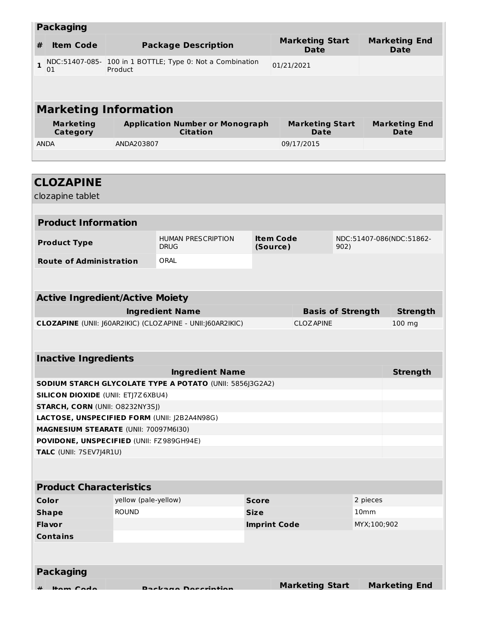| <b>Packaging</b>                                                                         |                                                                                                                        |                                      |                                                                 |                             |                                                        |                          |                              |                                     |
|------------------------------------------------------------------------------------------|------------------------------------------------------------------------------------------------------------------------|--------------------------------------|-----------------------------------------------------------------|-----------------------------|--------------------------------------------------------|--------------------------|------------------------------|-------------------------------------|
| <b>Item Code</b><br>#                                                                    |                                                                                                                        |                                      | <b>Package Description</b>                                      |                             | <b>Marketing Start</b><br><b>Date</b>                  |                          |                              | <b>Marketing End</b><br><b>Date</b> |
| $\mathbf{1}$<br>01                                                                       | NDC:51407-085- 100 in 1 BOTTLE; Type 0: Not a Combination<br>Product                                                   |                                      |                                                                 | 01/21/2021                  |                                                        |                          |                              |                                     |
|                                                                                          |                                                                                                                        |                                      |                                                                 |                             |                                                        |                          |                              |                                     |
|                                                                                          |                                                                                                                        |                                      |                                                                 |                             |                                                        |                          |                              |                                     |
|                                                                                          | <b>Marketing Information</b>                                                                                           |                                      |                                                                 |                             |                                                        |                          |                              |                                     |
| Category                                                                                 | <b>Marketing</b><br><b>Application Number or Monograph</b><br><b>Marketing Start</b><br><b>Citation</b><br><b>Date</b> |                                      |                                                                 |                             |                                                        |                          | <b>Marketing End</b><br>Date |                                     |
| <b>ANDA</b>                                                                              |                                                                                                                        | ANDA203807                           |                                                                 |                             | 09/17/2015                                             |                          |                              |                                     |
|                                                                                          |                                                                                                                        |                                      |                                                                 |                             |                                                        |                          |                              |                                     |
|                                                                                          |                                                                                                                        |                                      |                                                                 |                             |                                                        |                          |                              |                                     |
| <b>CLOZAPINE</b>                                                                         |                                                                                                                        |                                      |                                                                 |                             |                                                        |                          |                              |                                     |
| clozapine tablet                                                                         |                                                                                                                        |                                      |                                                                 |                             |                                                        |                          |                              |                                     |
| <b>Product Information</b>                                                               |                                                                                                                        |                                      |                                                                 |                             |                                                        |                          |                              |                                     |
|                                                                                          |                                                                                                                        |                                      | <b>HUMAN PRESCRIPTION</b>                                       |                             | <b>Item Code</b>                                       |                          |                              |                                     |
| <b>Product Type</b>                                                                      |                                                                                                                        |                                      | <b>DRUG</b>                                                     | (Source)                    |                                                        | 902)                     |                              | NDC:51407-086(NDC:51862-            |
| <b>Route of Administration</b>                                                           |                                                                                                                        |                                      | ORAL                                                            |                             |                                                        |                          |                              |                                     |
|                                                                                          |                                                                                                                        |                                      |                                                                 |                             |                                                        |                          |                              |                                     |
| <b>Active Ingredient/Active Moiety</b>                                                   |                                                                                                                        |                                      |                                                                 |                             |                                                        |                          |                              |                                     |
|                                                                                          |                                                                                                                        |                                      | <b>Ingredient Name</b>                                          |                             |                                                        | <b>Basis of Strength</b> |                              | <b>Strength</b>                     |
| CLOZAPINE (UNII: J60AR2IKIC) (CLOZAPINE - UNII: J60AR2IKIC)                              |                                                                                                                        |                                      |                                                                 | <b>CLOZAPINE</b>            |                                                        |                          | 100 mg                       |                                     |
|                                                                                          |                                                                                                                        |                                      |                                                                 |                             |                                                        |                          |                              |                                     |
| <b>Inactive Ingredients</b>                                                              |                                                                                                                        |                                      |                                                                 |                             |                                                        |                          |                              |                                     |
|                                                                                          |                                                                                                                        |                                      | <b>Ingredient Name</b>                                          |                             |                                                        |                          |                              | <b>Strength</b>                     |
|                                                                                          |                                                                                                                        |                                      | <b>SODIUM STARCH GLYCOLATE TYPE A POTATO (UNII: 5856]3G2A2)</b> |                             |                                                        |                          |                              |                                     |
| <b>SILICON DIOXIDE (UNII: ETJ7Z6XBU4)</b>                                                |                                                                                                                        |                                      |                                                                 |                             |                                                        |                          |                              |                                     |
| <b>STARCH, CORN (UNII: O8232NY3SJ)</b>                                                   |                                                                                                                        |                                      |                                                                 |                             |                                                        |                          |                              |                                     |
|                                                                                          |                                                                                                                        |                                      | LACTOSE, UNSPECIFIED FORM (UNII: J2B2A4N98G)                    |                             |                                                        |                          |                              |                                     |
| <b>MAGNESIUM STEARATE (UNII: 70097M6I30)</b><br>POVIDONE, UNSPECIFIED (UNII: FZ989GH94E) |                                                                                                                        |                                      |                                                                 |                             |                                                        |                          |                              |                                     |
| TALC (UNII: 7SEV7J4R1U)                                                                  |                                                                                                                        |                                      |                                                                 |                             |                                                        |                          |                              |                                     |
|                                                                                          |                                                                                                                        |                                      |                                                                 |                             |                                                        |                          |                              |                                     |
|                                                                                          |                                                                                                                        |                                      |                                                                 |                             |                                                        |                          |                              |                                     |
| <b>Product Characteristics</b>                                                           |                                                                                                                        |                                      |                                                                 |                             |                                                        |                          |                              |                                     |
| Color                                                                                    |                                                                                                                        | yellow (pale-yellow)<br><b>ROUND</b> |                                                                 | <b>Score</b><br><b>Size</b> |                                                        |                          | 2 pieces                     |                                     |
| <b>Shape</b><br><b>Flavor</b>                                                            |                                                                                                                        |                                      |                                                                 |                             | 10 <sub>mm</sub><br><b>Imprint Code</b><br>MYX;100;902 |                          |                              |                                     |
| <b>Contains</b>                                                                          |                                                                                                                        |                                      |                                                                 |                             |                                                        |                          |                              |                                     |
|                                                                                          |                                                                                                                        |                                      |                                                                 |                             |                                                        |                          |                              |                                     |
|                                                                                          |                                                                                                                        |                                      |                                                                 |                             |                                                        |                          |                              |                                     |
| <b>Packaging</b>                                                                         |                                                                                                                        |                                      |                                                                 |                             |                                                        |                          |                              |                                     |
|                                                                                          |                                                                                                                        |                                      |                                                                 |                             | <b>Marketing Start</b>                                 |                          |                              | <b>Marketing End</b>                |